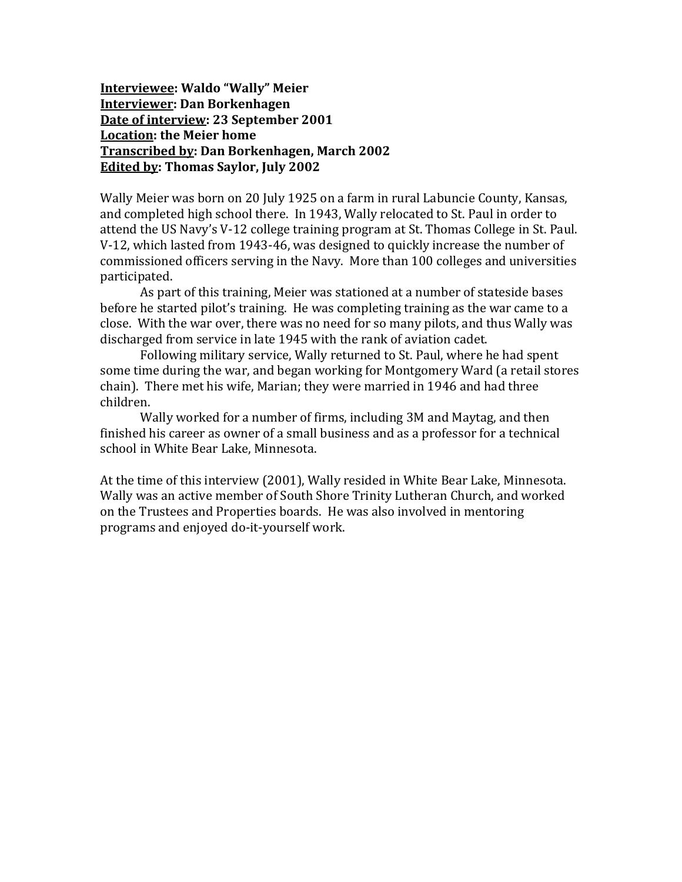**Interviewee: Waldo "Wally" Meier Interviewer: Dan Borkenhagen Date of interview: 23 September 2001 Location: the Meier home Transcribed by: Dan Borkenhagen, March 2002 Edited by: Thomas Saylor, July 2002**

Wally Meier was born on 20 July 1925 on a farm in rural Labuncie County, Kansas, and completed high school there. In 1943, Wally relocated to St. Paul in order to attend the US Navy's V-12 college training program at St. Thomas College in St. Paul. V-12, which lasted from 1943-46, was designed to quickly increase the number of commissioned officers serving in the Navy. More than 100 colleges and universities participated.

As part of this training, Meier was stationed at a number of stateside bases before he started pilot's training. He was completing training as the war came to a close. With the war over, there was no need for so many pilots, and thus Wally was discharged from service in late 1945 with the rank of aviation cadet.

Following military service, Wally returned to St. Paul, where he had spent some time during the war, and began working for Montgomery Ward (a retail stores chain). There met his wife, Marian; they were married in 1946 and had three children.

Wally worked for a number of firms, including 3M and Maytag, and then finished his career as owner of a small business and as a professor for a technical school in White Bear Lake, Minnesota.

At the time of this interview (2001), Wally resided in White Bear Lake, Minnesota. Wally was an active member of South Shore Trinity Lutheran Church, and worked on the Trustees and Properties boards. He was also involved in mentoring programs and enjoyed do-it-yourself work.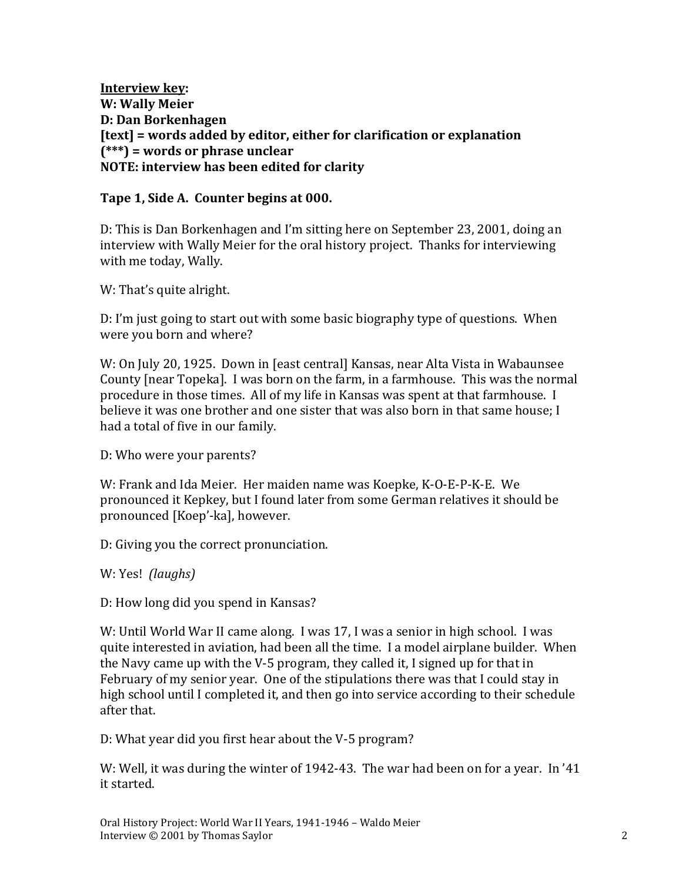**Interview key: W: Wally Meier D: Dan Borkenhagen [text] = words added by editor, either for clarification or explanation (\*\*\*) = words or phrase unclear NOTE: interview has been edited for clarity**

#### **Tape 1, Side A. Counter begins at 000.**

D: This is Dan Borkenhagen and I'm sitting here on September 23, 2001, doing an interview with Wally Meier for the oral history project. Thanks for interviewing with me today, Wally.

W: That's quite alright.

D: I'm just going to start out with some basic biography type of questions. When were you born and where?

W: On July 20, 1925. Down in [east central] Kansas, near Alta Vista in Wabaunsee County [near Topeka]. I was born on the farm, in a farmhouse. This was the normal procedure in those times. All of my life in Kansas was spent at that farmhouse. I believe it was one brother and one sister that was also born in that same house; I had a total of five in our family.

D: Who were your parents?

W: Frank and Ida Meier. Her maiden name was Koepke, K-O-E-P-K-E. We pronounced it Kepkey, but I found later from some German relatives it should be pronounced [Koep'-ka], however.

D: Giving you the correct pronunciation.

W: Yes! *(laughs)*

D: How long did you spend in Kansas?

W: Until World War II came along. I was 17, I was a senior in high school. I was quite interested in aviation, had been all the time. I a model airplane builder. When the Navy came up with the V-5 program, they called it, I signed up for that in February of my senior year. One of the stipulations there was that I could stay in high school until I completed it, and then go into service according to their schedule after that.

D: What year did you first hear about the V-5 program?

W: Well, it was during the winter of 1942-43. The war had been on for a year. In '41 it started.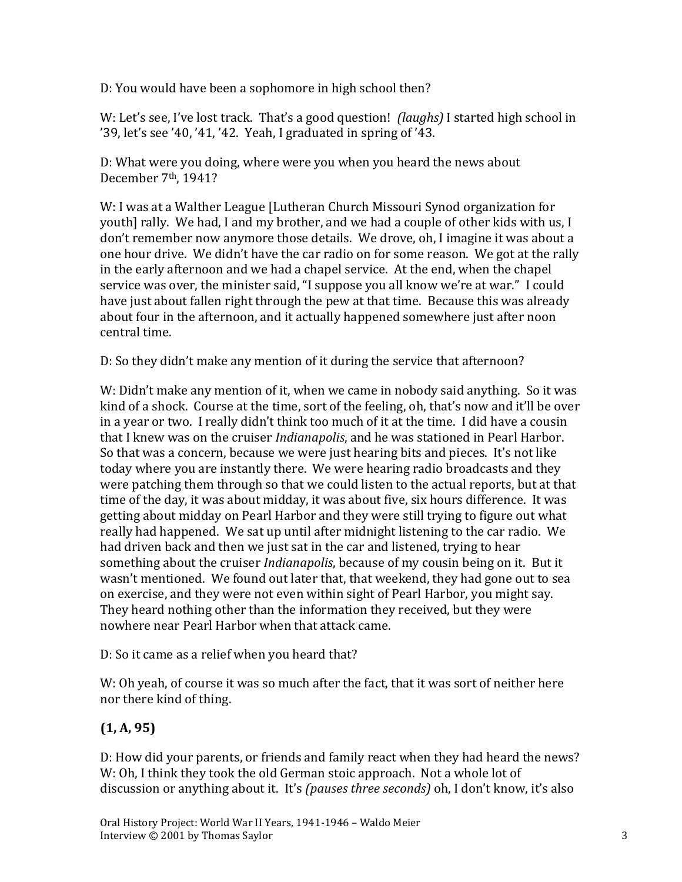D: You would have been a sophomore in high school then?

W: Let's see, I've lost track. That's a good question! *(laughs)* I started high school in '39, let's see '40, '41, '42. Yeah, I graduated in spring of '43.

D: What were you doing, where were you when you heard the news about December 7th, 1941?

W: I was at a Walther League [Lutheran Church Missouri Synod organization for youth] rally. We had, I and my brother, and we had a couple of other kids with us, I don't remember now anymore those details. We drove, oh, I imagine it was about a one hour drive. We didn't have the car radio on for some reason. We got at the rally in the early afternoon and we had a chapel service. At the end, when the chapel service was over, the minister said, "I suppose you all know we're at war." I could have just about fallen right through the pew at that time. Because this was already about four in the afternoon, and it actually happened somewhere just after noon central time.

D: So they didn't make any mention of it during the service that afternoon?

W: Didn't make any mention of it, when we came in nobody said anything. So it was kind of a shock. Course at the time, sort of the feeling, oh, that's now and it'll be over in a year or two. I really didn't think too much of it at the time. I did have a cousin that I knew was on the cruiser *Indianapolis*, and he was stationed in Pearl Harbor. So that was a concern, because we were just hearing bits and pieces. It's not like today where you are instantly there. We were hearing radio broadcasts and they were patching them through so that we could listen to the actual reports, but at that time of the day, it was about midday, it was about five, six hours difference. It was getting about midday on Pearl Harbor and they were still trying to figure out what really had happened. We sat up until after midnight listening to the car radio. We had driven back and then we just sat in the car and listened, trying to hear something about the cruiser *Indianapolis*, because of my cousin being on it. But it wasn't mentioned. We found out later that, that weekend, they had gone out to sea on exercise, and they were not even within sight of Pearl Harbor, you might say. They heard nothing other than the information they received, but they were nowhere near Pearl Harbor when that attack came.

### D: So it came as a relief when you heard that?

W: Oh yeah, of course it was so much after the fact, that it was sort of neither here nor there kind of thing.

## **(1, A, 95)**

D: How did your parents, or friends and family react when they had heard the news? W: Oh, I think they took the old German stoic approach. Not a whole lot of discussion or anything about it. It's *(pauses three seconds)* oh, I don't know, it's also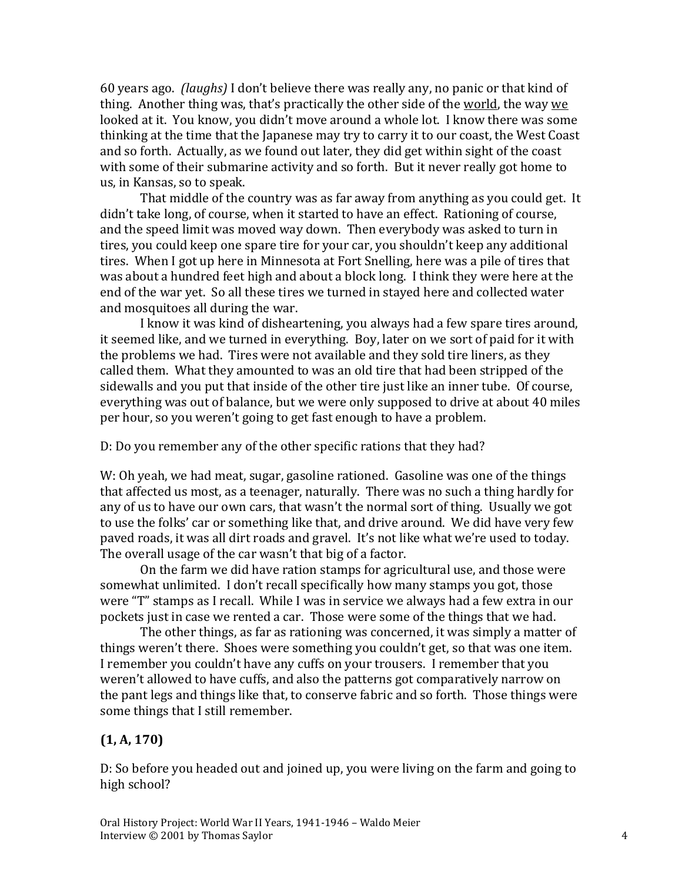60 years ago. *(laughs)* I don't believe there was really any, no panic or that kind of thing. Another thing was, that's practically the other side of the world, the way we looked at it. You know, you didn't move around a whole lot. I know there was some thinking at the time that the Japanese may try to carry it to our coast, the West Coast and so forth. Actually, as we found out later, they did get within sight of the coast with some of their submarine activity and so forth. But it never really got home to us, in Kansas, so to speak.

That middle of the country was as far away from anything as you could get. It didn't take long, of course, when it started to have an effect. Rationing of course, and the speed limit was moved way down. Then everybody was asked to turn in tires, you could keep one spare tire for your car, you shouldn't keep any additional tires. When I got up here in Minnesota at Fort Snelling, here was a pile of tires that was about a hundred feet high and about a block long. I think they were here at the end of the war yet. So all these tires we turned in stayed here and collected water and mosquitoes all during the war.

I know it was kind of disheartening, you always had a few spare tires around, it seemed like, and we turned in everything. Boy, later on we sort of paid for it with the problems we had. Tires were not available and they sold tire liners, as they called them. What they amounted to was an old tire that had been stripped of the sidewalls and you put that inside of the other tire just like an inner tube. Of course, everything was out of balance, but we were only supposed to drive at about 40 miles per hour, so you weren't going to get fast enough to have a problem.

D: Do you remember any of the other specific rations that they had?

W: Oh yeah, we had meat, sugar, gasoline rationed. Gasoline was one of the things that affected us most, as a teenager, naturally. There was no such a thing hardly for any of us to have our own cars, that wasn't the normal sort of thing. Usually we got to use the folks' car or something like that, and drive around. We did have very few paved roads, it was all dirt roads and gravel. It's not like what we're used to today. The overall usage of the car wasn't that big of a factor.

On the farm we did have ration stamps for agricultural use, and those were somewhat unlimited. I don't recall specifically how many stamps you got, those were "T" stamps as I recall. While I was in service we always had a few extra in our pockets just in case we rented a car. Those were some of the things that we had.

The other things, as far as rationing was concerned, it was simply a matter of things weren't there. Shoes were something you couldn't get, so that was one item. I remember you couldn't have any cuffs on your trousers. I remember that you weren't allowed to have cuffs, and also the patterns got comparatively narrow on the pant legs and things like that, to conserve fabric and so forth. Those things were some things that I still remember.

## **(1, A, 170)**

D: So before you headed out and joined up, you were living on the farm and going to high school?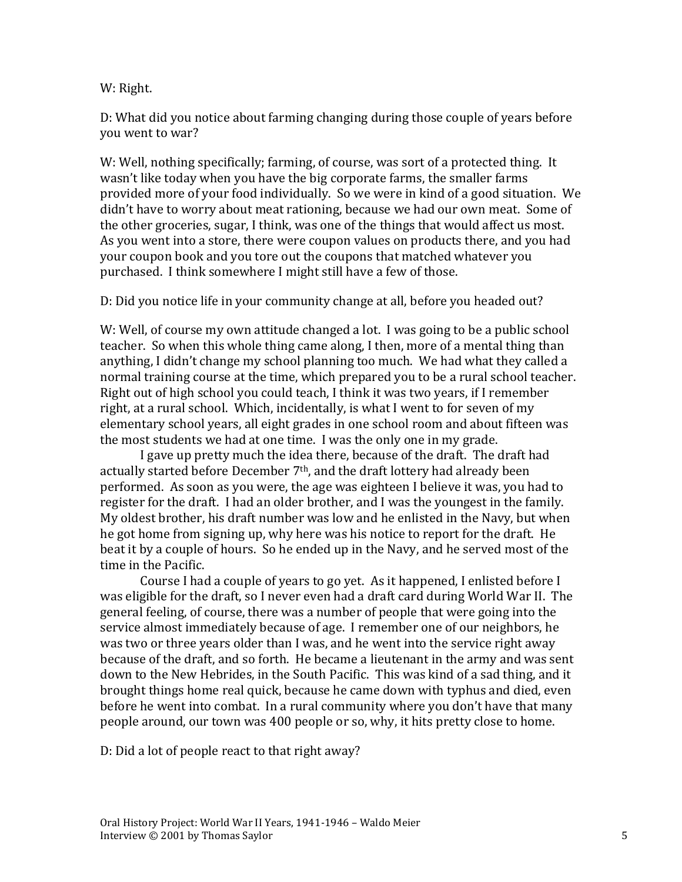W: Right.

D: What did you notice about farming changing during those couple of years before you went to war?

W: Well, nothing specifically; farming, of course, was sort of a protected thing. It wasn't like today when you have the big corporate farms, the smaller farms provided more of your food individually. So we were in kind of a good situation. We didn't have to worry about meat rationing, because we had our own meat. Some of the other groceries, sugar, I think, was one of the things that would affect us most. As you went into a store, there were coupon values on products there, and you had your coupon book and you tore out the coupons that matched whatever you purchased. I think somewhere I might still have a few of those.

D: Did you notice life in your community change at all, before you headed out?

W: Well, of course my own attitude changed a lot. I was going to be a public school teacher. So when this whole thing came along, I then, more of a mental thing than anything, I didn't change my school planning too much. We had what they called a normal training course at the time, which prepared you to be a rural school teacher. Right out of high school you could teach, I think it was two years, if I remember right, at a rural school. Which, incidentally, is what I went to for seven of my elementary school years, all eight grades in one school room and about fifteen was the most students we had at one time. I was the only one in my grade.

I gave up pretty much the idea there, because of the draft. The draft had actually started before December 7<sup>th</sup>, and the draft lottery had already been performed. As soon as you were, the age was eighteen I believe it was, you had to register for the draft. I had an older brother, and I was the youngest in the family. My oldest brother, his draft number was low and he enlisted in the Navy, but when he got home from signing up, why here was his notice to report for the draft. He beat it by a couple of hours. So he ended up in the Navy, and he served most of the time in the Pacific.

Course I had a couple of years to go yet. As it happened, I enlisted before I was eligible for the draft, so I never even had a draft card during World War II. The general feeling, of course, there was a number of people that were going into the service almost immediately because of age. I remember one of our neighbors, he was two or three years older than I was, and he went into the service right away because of the draft, and so forth. He became a lieutenant in the army and was sent down to the New Hebrides, in the South Pacific. This was kind of a sad thing, and it brought things home real quick, because he came down with typhus and died, even before he went into combat. In a rural community where you don't have that many people around, our town was 400 people or so, why, it hits pretty close to home.

D: Did a lot of people react to that right away?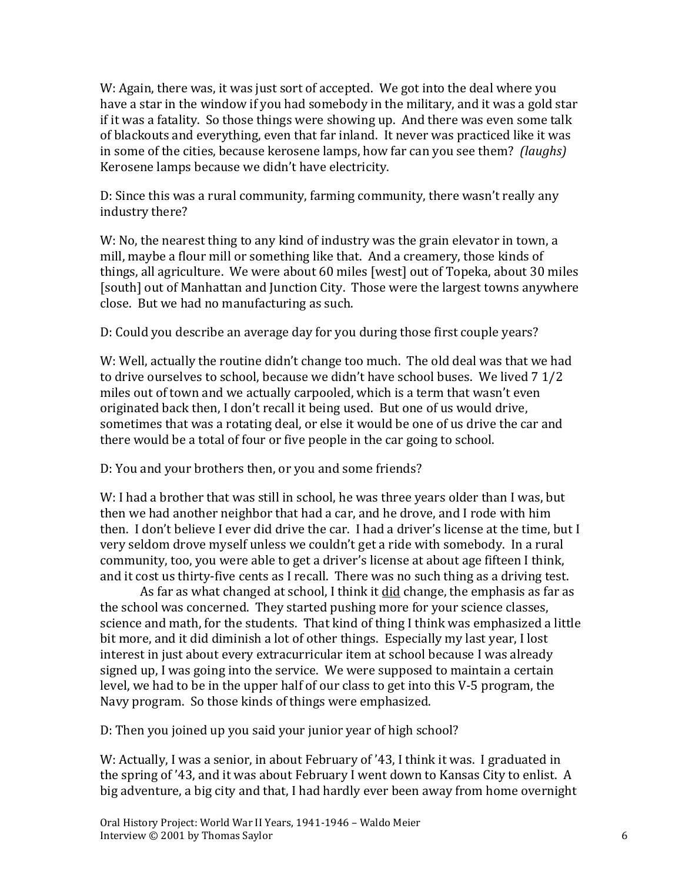W: Again, there was, it was just sort of accepted. We got into the deal where you have a star in the window if you had somebody in the military, and it was a gold star if it was a fatality. So those things were showing up. And there was even some talk of blackouts and everything, even that far inland. It never was practiced like it was in some of the cities, because kerosene lamps, how far can you see them? *(laughs)*  Kerosene lamps because we didn't have electricity.

D: Since this was a rural community, farming community, there wasn't really any industry there?

W: No, the nearest thing to any kind of industry was the grain elevator in town, a mill, maybe a flour mill or something like that. And a creamery, those kinds of things, all agriculture. We were about 60 miles [west] out of Topeka, about 30 miles [south] out of Manhattan and Junction City. Those were the largest towns anywhere close. But we had no manufacturing as such.

D: Could you describe an average day for you during those first couple years?

W: Well, actually the routine didn't change too much. The old deal was that we had to drive ourselves to school, because we didn't have school buses. We lived 7 1/2 miles out of town and we actually carpooled, which is a term that wasn't even originated back then, I don't recall it being used. But one of us would drive, sometimes that was a rotating deal, or else it would be one of us drive the car and there would be a total of four or five people in the car going to school.

D: You and your brothers then, or you and some friends?

W: I had a brother that was still in school, he was three years older than I was, but then we had another neighbor that had a car, and he drove, and I rode with him then. I don't believe I ever did drive the car. I had a driver's license at the time, but I very seldom drove myself unless we couldn't get a ride with somebody. In a rural community, too, you were able to get a driver's license at about age fifteen I think, and it cost us thirty-five cents as I recall. There was no such thing as a driving test.

As far as what changed at school, I think it did change, the emphasis as far as the school was concerned. They started pushing more for your science classes, science and math, for the students. That kind of thing I think was emphasized a little bit more, and it did diminish a lot of other things. Especially my last year, I lost interest in just about every extracurricular item at school because I was already signed up, I was going into the service. We were supposed to maintain a certain level, we had to be in the upper half of our class to get into this V-5 program, the Navy program. So those kinds of things were emphasized.

D: Then you joined up you said your junior year of high school?

W: Actually, I was a senior, in about February of '43, I think it was. I graduated in the spring of '43, and it was about February I went down to Kansas City to enlist. A big adventure, a big city and that, I had hardly ever been away from home overnight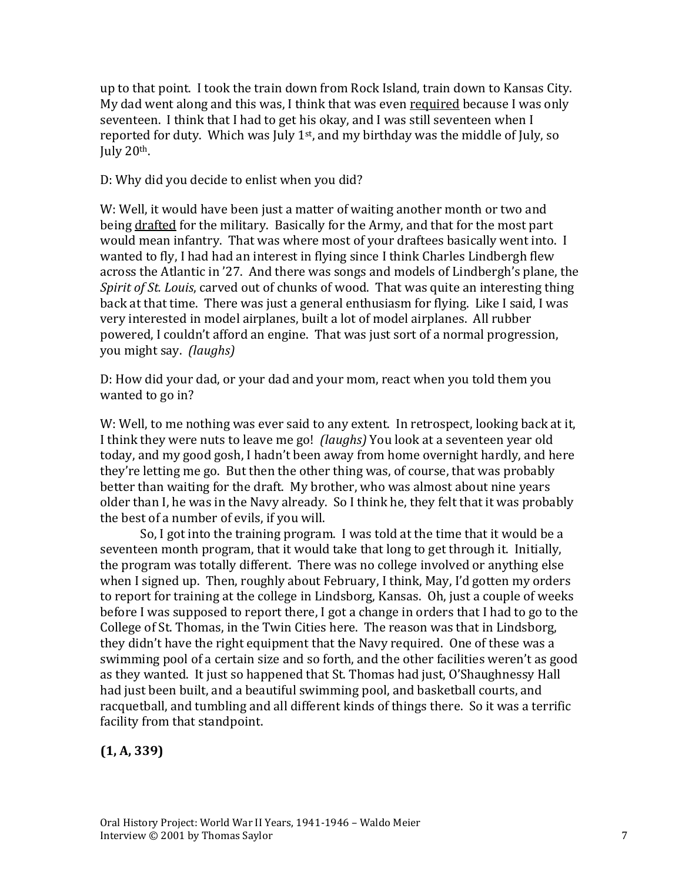up to that point. I took the train down from Rock Island, train down to Kansas City. My dad went along and this was, I think that was even required because I was only seventeen. I think that I had to get his okay, and I was still seventeen when I reported for duty. Which was July  $1<sup>st</sup>$ , and my birthday was the middle of July, so July  $20<sup>th</sup>$ .

D: Why did you decide to enlist when you did?

W: Well, it would have been just a matter of waiting another month or two and being drafted for the military. Basically for the Army, and that for the most part would mean infantry. That was where most of your draftees basically went into. I wanted to fly, I had had an interest in flying since I think Charles Lindbergh flew across the Atlantic in '27. And there was songs and models of Lindbergh's plane, the *Spirit of St. Louis*, carved out of chunks of wood. That was quite an interesting thing back at that time. There was just a general enthusiasm for flying. Like I said, I was very interested in model airplanes, built a lot of model airplanes. All rubber powered, I couldn't afford an engine. That was just sort of a normal progression, you might say. *(laughs)*

D: How did your dad, or your dad and your mom, react when you told them you wanted to go in?

W: Well, to me nothing was ever said to any extent. In retrospect, looking back at it, I think they were nuts to leave me go! *(laughs)* You look at a seventeen year old today, and my good gosh, I hadn't been away from home overnight hardly, and here they're letting me go. But then the other thing was, of course, that was probably better than waiting for the draft. My brother, who was almost about nine years older than I, he was in the Navy already. So I think he, they felt that it was probably the best of a number of evils, if you will.

So, I got into the training program. I was told at the time that it would be a seventeen month program, that it would take that long to get through it. Initially, the program was totally different. There was no college involved or anything else when I signed up. Then, roughly about February, I think, May, I'd gotten my orders to report for training at the college in Lindsborg, Kansas. Oh, just a couple of weeks before I was supposed to report there, I got a change in orders that I had to go to the College of St. Thomas, in the Twin Cities here. The reason was that in Lindsborg, they didn't have the right equipment that the Navy required. One of these was a swimming pool of a certain size and so forth, and the other facilities weren't as good as they wanted. It just so happened that St. Thomas had just, O'Shaughnessy Hall had just been built, and a beautiful swimming pool, and basketball courts, and racquetball, and tumbling and all different kinds of things there. So it was a terrific facility from that standpoint.

#### **(1, A, 339)**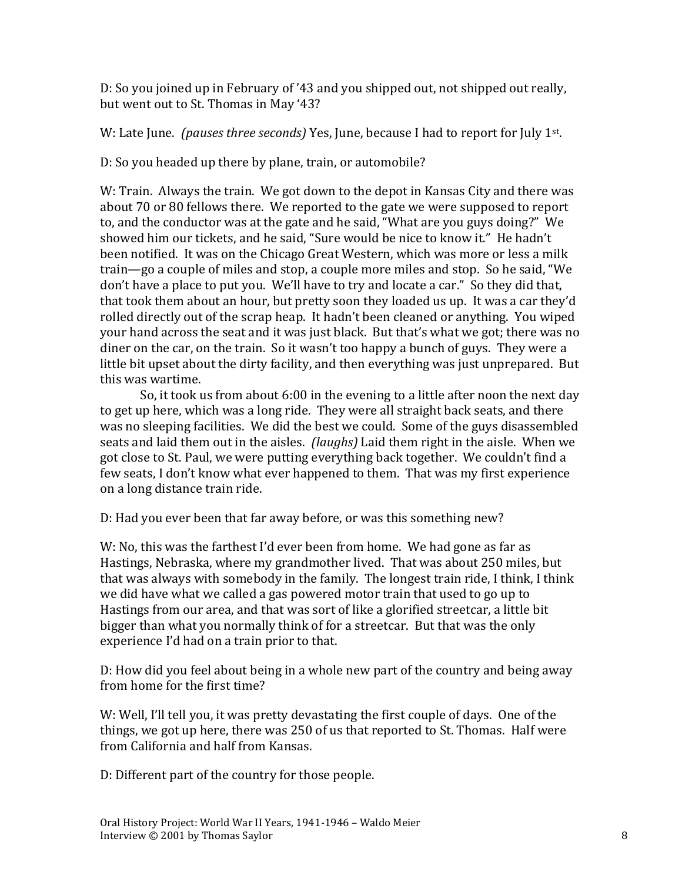D: So you joined up in February of '43 and you shipped out, not shipped out really, but went out to St. Thomas in May '43?

W: Late June. *(pauses three seconds)* Yes, June, because I had to report for July 1st .

D: So you headed up there by plane, train, or automobile?

W: Train. Always the train. We got down to the depot in Kansas City and there was about 70 or 80 fellows there. We reported to the gate we were supposed to report to, and the conductor was at the gate and he said, "What are you guys doing?" We showed him our tickets, and he said, "Sure would be nice to know it." He hadn't been notified. It was on the Chicago Great Western, which was more or less a milk train—go a couple of miles and stop, a couple more miles and stop. So he said, "We don't have a place to put you. We'll have to try and locate a car." So they did that, that took them about an hour, but pretty soon they loaded us up. It was a car they'd rolled directly out of the scrap heap. It hadn't been cleaned or anything. You wiped your hand across the seat and it was just black. But that's what we got; there was no diner on the car, on the train. So it wasn't too happy a bunch of guys. They were a little bit upset about the dirty facility, and then everything was just unprepared. But this was wartime.

So, it took us from about 6:00 in the evening to a little after noon the next day to get up here, which was a long ride. They were all straight back seats, and there was no sleeping facilities. We did the best we could. Some of the guys disassembled seats and laid them out in the aisles. *(laughs)* Laid them right in the aisle. When we got close to St. Paul, we were putting everything back together. We couldn't find a few seats, I don't know what ever happened to them. That was my first experience on a long distance train ride.

D: Had you ever been that far away before, or was this something new?

W: No, this was the farthest I'd ever been from home. We had gone as far as Hastings, Nebraska, where my grandmother lived. That was about 250 miles, but that was always with somebody in the family. The longest train ride, I think, I think we did have what we called a gas powered motor train that used to go up to Hastings from our area, and that was sort of like a glorified streetcar, a little bit bigger than what you normally think of for a streetcar. But that was the only experience I'd had on a train prior to that.

D: How did you feel about being in a whole new part of the country and being away from home for the first time?

W: Well, I'll tell you, it was pretty devastating the first couple of days. One of the things, we got up here, there was 250 of us that reported to St. Thomas. Half were from California and half from Kansas.

D: Different part of the country for those people.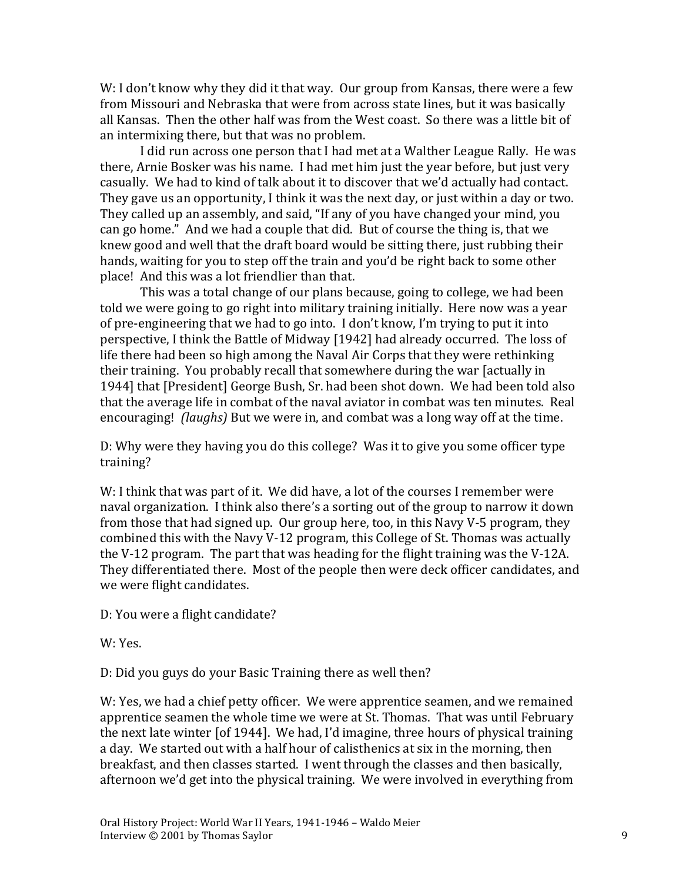W: I don't know why they did it that way. Our group from Kansas, there were a few from Missouri and Nebraska that were from across state lines, but it was basically all Kansas. Then the other half was from the West coast. So there was a little bit of an intermixing there, but that was no problem.

I did run across one person that I had met at a Walther League Rally. He was there, Arnie Bosker was his name. I had met him just the year before, but just very casually. We had to kind of talk about it to discover that we'd actually had contact. They gave us an opportunity, I think it was the next day, or just within a day or two. They called up an assembly, and said, "If any of you have changed your mind, you can go home." And we had a couple that did. But of course the thing is, that we knew good and well that the draft board would be sitting there, just rubbing their hands, waiting for you to step off the train and you'd be right back to some other place! And this was a lot friendlier than that.

This was a total change of our plans because, going to college, we had been told we were going to go right into military training initially. Here now was a year of pre-engineering that we had to go into. I don't know, I'm trying to put it into perspective, I think the Battle of Midway [1942] had already occurred. The loss of life there had been so high among the Naval Air Corps that they were rethinking their training. You probably recall that somewhere during the war [actually in 1944] that [President] George Bush, Sr. had been shot down. We had been told also that the average life in combat of the naval aviator in combat was ten minutes. Real encouraging! *(laughs)* But we were in, and combat was a long way off at the time.

D: Why were they having you do this college? Was it to give you some officer type training?

W: I think that was part of it. We did have, a lot of the courses I remember were naval organization. I think also there's a sorting out of the group to narrow it down from those that had signed up. Our group here, too, in this Navy V-5 program, they combined this with the Navy V-12 program, this College of St. Thomas was actually the V-12 program. The part that was heading for the flight training was the V-12A. They differentiated there. Most of the people then were deck officer candidates, and we were flight candidates.

D: You were a flight candidate?

W: Yes.

D: Did you guys do your Basic Training there as well then?

W: Yes, we had a chief petty officer. We were apprentice seamen, and we remained apprentice seamen the whole time we were at St. Thomas. That was until February the next late winter [of 1944]. We had, I'd imagine, three hours of physical training a day. We started out with a half hour of calisthenics at six in the morning, then breakfast, and then classes started. I went through the classes and then basically, afternoon we'd get into the physical training. We were involved in everything from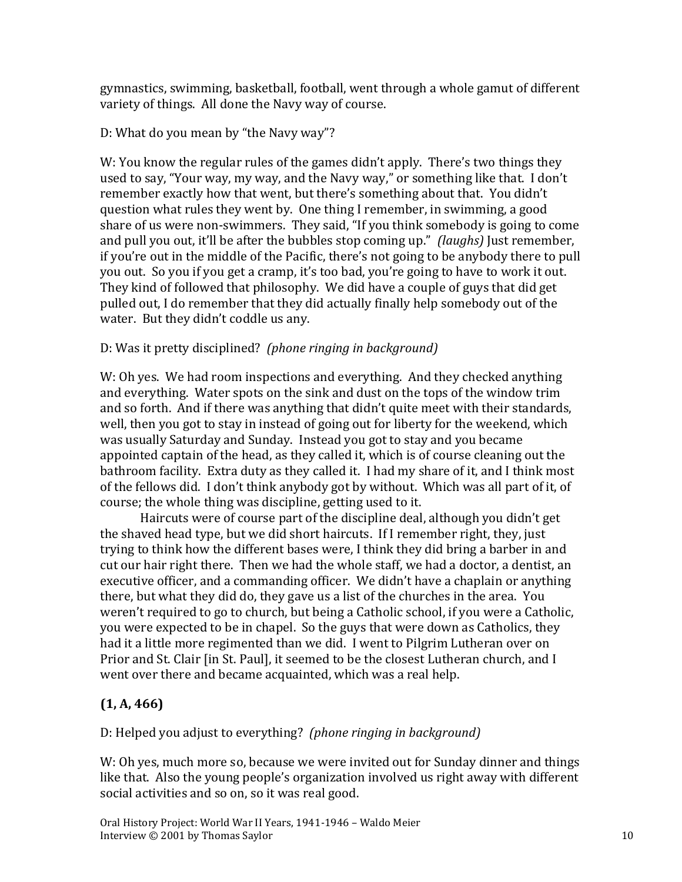gymnastics, swimming, basketball, football, went through a whole gamut of different variety of things. All done the Navy way of course.

D: What do you mean by "the Navy way"?

W: You know the regular rules of the games didn't apply. There's two things they used to say, "Your way, my way, and the Navy way," or something like that. I don't remember exactly how that went, but there's something about that. You didn't question what rules they went by. One thing I remember, in swimming, a good share of us were non-swimmers. They said, "If you think somebody is going to come and pull you out, it'll be after the bubbles stop coming up." *(laughs)* Just remember, if you're out in the middle of the Pacific, there's not going to be anybody there to pull you out. So you if you get a cramp, it's too bad, you're going to have to work it out. They kind of followed that philosophy. We did have a couple of guys that did get pulled out, I do remember that they did actually finally help somebody out of the water. But they didn't coddle us any.

### D: Was it pretty disciplined? *(phone ringing in background)*

W: Oh yes. We had room inspections and everything. And they checked anything and everything. Water spots on the sink and dust on the tops of the window trim and so forth. And if there was anything that didn't quite meet with their standards, well, then you got to stay in instead of going out for liberty for the weekend, which was usually Saturday and Sunday. Instead you got to stay and you became appointed captain of the head, as they called it, which is of course cleaning out the bathroom facility. Extra duty as they called it. I had my share of it, and I think most of the fellows did. I don't think anybody got by without. Which was all part of it, of course; the whole thing was discipline, getting used to it.

Haircuts were of course part of the discipline deal, although you didn't get the shaved head type, but we did short haircuts. If I remember right, they, just trying to think how the different bases were, I think they did bring a barber in and cut our hair right there. Then we had the whole staff, we had a doctor, a dentist, an executive officer, and a commanding officer. We didn't have a chaplain or anything there, but what they did do, they gave us a list of the churches in the area. You weren't required to go to church, but being a Catholic school, if you were a Catholic, you were expected to be in chapel. So the guys that were down as Catholics, they had it a little more regimented than we did. I went to Pilgrim Lutheran over on Prior and St. Clair [in St. Paul], it seemed to be the closest Lutheran church, and I went over there and became acquainted, which was a real help.

# **(1, A, 466)**

D: Helped you adjust to everything? *(phone ringing in background)*

W: Oh yes, much more so, because we were invited out for Sunday dinner and things like that. Also the young people's organization involved us right away with different social activities and so on, so it was real good.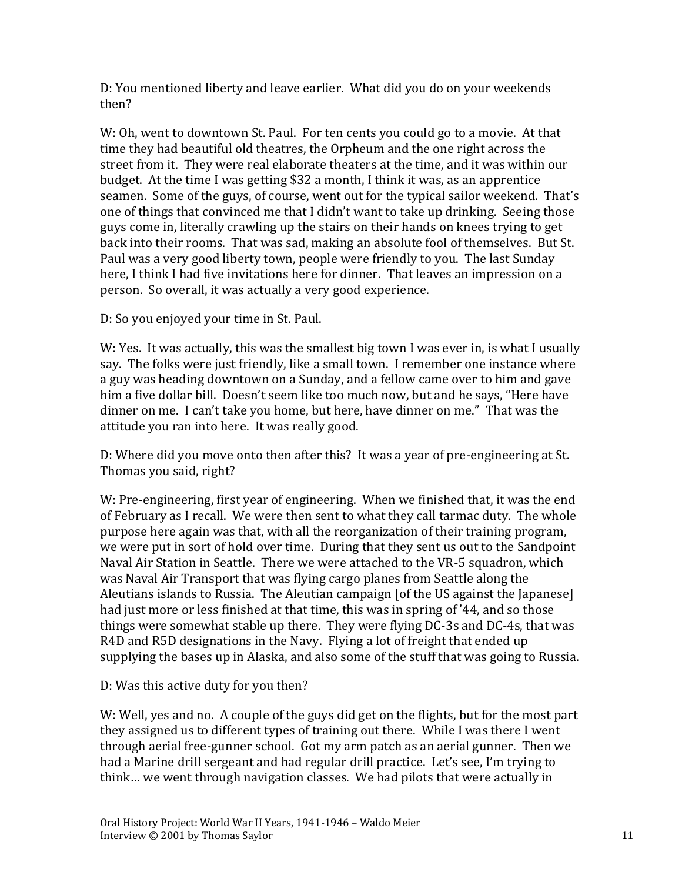D: You mentioned liberty and leave earlier. What did you do on your weekends then?

W: Oh, went to downtown St. Paul. For ten cents you could go to a movie. At that time they had beautiful old theatres, the Orpheum and the one right across the street from it. They were real elaborate theaters at the time, and it was within our budget. At the time I was getting \$32 a month, I think it was, as an apprentice seamen. Some of the guys, of course, went out for the typical sailor weekend. That's one of things that convinced me that I didn't want to take up drinking. Seeing those guys come in, literally crawling up the stairs on their hands on knees trying to get back into their rooms. That was sad, making an absolute fool of themselves. But St. Paul was a very good liberty town, people were friendly to you. The last Sunday here, I think I had five invitations here for dinner. That leaves an impression on a person. So overall, it was actually a very good experience.

D: So you enjoyed your time in St. Paul.

W: Yes. It was actually, this was the smallest big town I was ever in, is what I usually say. The folks were just friendly, like a small town. I remember one instance where a guy was heading downtown on a Sunday, and a fellow came over to him and gave him a five dollar bill. Doesn't seem like too much now, but and he says, "Here have dinner on me. I can't take you home, but here, have dinner on me." That was the attitude you ran into here. It was really good.

D: Where did you move onto then after this? It was a year of pre-engineering at St. Thomas you said, right?

W: Pre-engineering, first year of engineering. When we finished that, it was the end of February as I recall. We were then sent to what they call tarmac duty. The whole purpose here again was that, with all the reorganization of their training program, we were put in sort of hold over time. During that they sent us out to the Sandpoint Naval Air Station in Seattle. There we were attached to the VR-5 squadron, which was Naval Air Transport that was flying cargo planes from Seattle along the Aleutians islands to Russia. The Aleutian campaign [of the US against the Japanese] had just more or less finished at that time, this was in spring of '44, and so those things were somewhat stable up there. They were flying DC-3s and DC-4s, that was R4D and R5D designations in the Navy. Flying a lot of freight that ended up supplying the bases up in Alaska, and also some of the stuff that was going to Russia.

D: Was this active duty for you then?

W: Well, yes and no. A couple of the guys did get on the flights, but for the most part they assigned us to different types of training out there. While I was there I went through aerial free-gunner school. Got my arm patch as an aerial gunner. Then we had a Marine drill sergeant and had regular drill practice. Let's see, I'm trying to think… we went through navigation classes. We had pilots that were actually in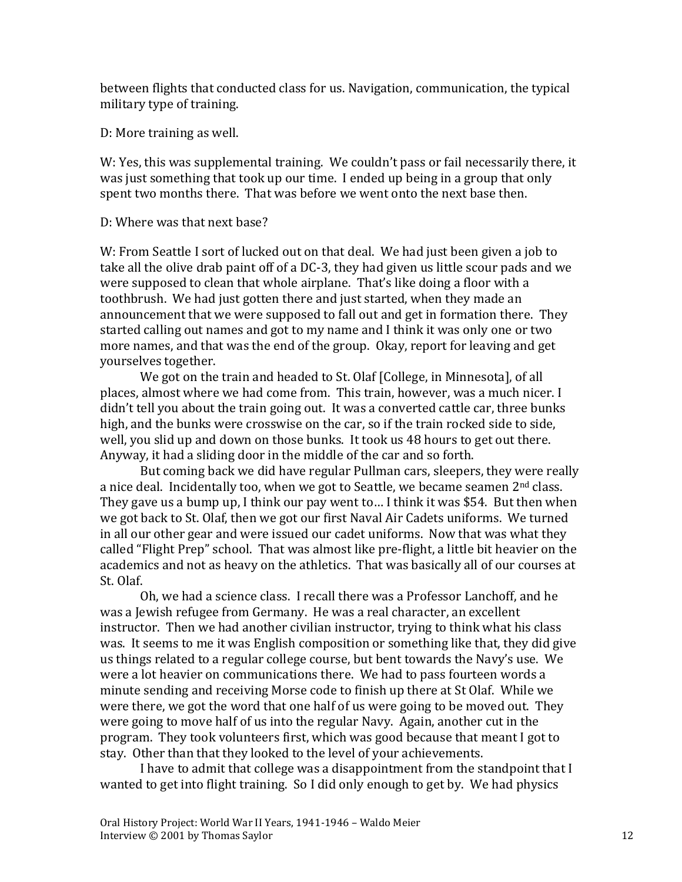between flights that conducted class for us. Navigation, communication, the typical military type of training.

D: More training as well.

W: Yes, this was supplemental training. We couldn't pass or fail necessarily there, it was just something that took up our time. I ended up being in a group that only spent two months there. That was before we went onto the next base then.

#### D: Where was that next base?

W: From Seattle I sort of lucked out on that deal. We had just been given a job to take all the olive drab paint off of a DC-3, they had given us little scour pads and we were supposed to clean that whole airplane. That's like doing a floor with a toothbrush. We had just gotten there and just started, when they made an announcement that we were supposed to fall out and get in formation there. They started calling out names and got to my name and I think it was only one or two more names, and that was the end of the group. Okay, report for leaving and get yourselves together.

We got on the train and headed to St. Olaf [College, in Minnesota], of all places, almost where we had come from. This train, however, was a much nicer. I didn't tell you about the train going out. It was a converted cattle car, three bunks high, and the bunks were crosswise on the car, so if the train rocked side to side, well, you slid up and down on those bunks. It took us 48 hours to get out there. Anyway, it had a sliding door in the middle of the car and so forth.

But coming back we did have regular Pullman cars, sleepers, they were really a nice deal. Incidentally too, when we got to Seattle, we became seamen 2<sup>nd</sup> class. They gave us a bump up, I think our pay went to… I think it was \$54. But then when we got back to St. Olaf, then we got our first Naval Air Cadets uniforms. We turned in all our other gear and were issued our cadet uniforms. Now that was what they called "Flight Prep" school. That was almost like pre-flight, a little bit heavier on the academics and not as heavy on the athletics. That was basically all of our courses at St. Olaf.

Oh, we had a science class. I recall there was a Professor Lanchoff, and he was a Jewish refugee from Germany. He was a real character, an excellent instructor. Then we had another civilian instructor, trying to think what his class was. It seems to me it was English composition or something like that, they did give us things related to a regular college course, but bent towards the Navy's use. We were a lot heavier on communications there. We had to pass fourteen words a minute sending and receiving Morse code to finish up there at St Olaf. While we were there, we got the word that one half of us were going to be moved out. They were going to move half of us into the regular Navy. Again, another cut in the program. They took volunteers first, which was good because that meant I got to stay. Other than that they looked to the level of your achievements.

I have to admit that college was a disappointment from the standpoint that I wanted to get into flight training. So I did only enough to get by. We had physics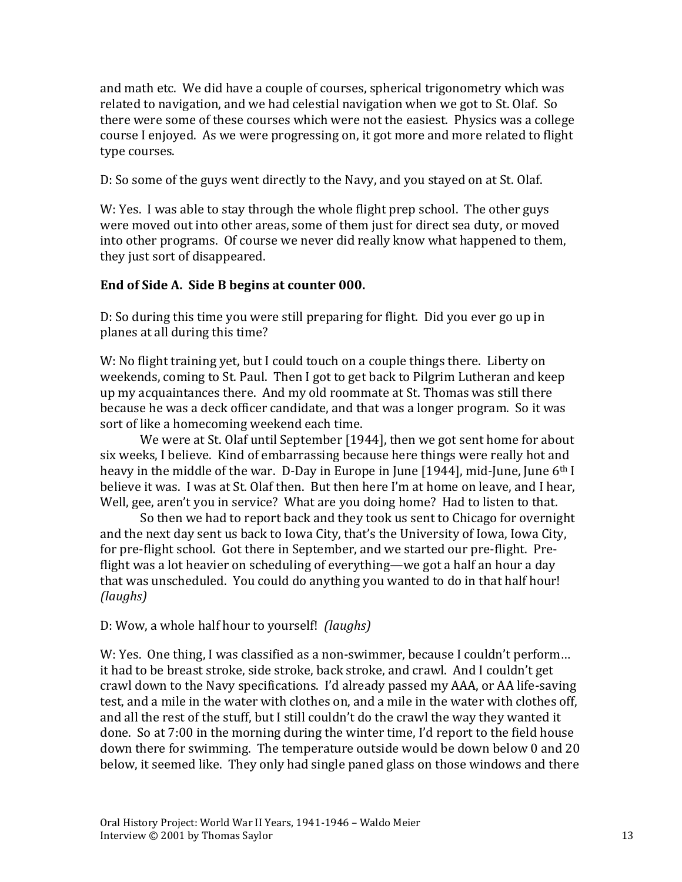and math etc. We did have a couple of courses, spherical trigonometry which was related to navigation, and we had celestial navigation when we got to St. Olaf. So there were some of these courses which were not the easiest. Physics was a college course I enjoyed. As we were progressing on, it got more and more related to flight type courses.

D: So some of the guys went directly to the Navy, and you stayed on at St. Olaf.

W: Yes. I was able to stay through the whole flight prep school. The other guys were moved out into other areas, some of them just for direct sea duty, or moved into other programs. Of course we never did really know what happened to them, they just sort of disappeared.

#### **End of Side A. Side B begins at counter 000.**

D: So during this time you were still preparing for flight. Did you ever go up in planes at all during this time?

W: No flight training yet, but I could touch on a couple things there. Liberty on weekends, coming to St. Paul. Then I got to get back to Pilgrim Lutheran and keep up my acquaintances there. And my old roommate at St. Thomas was still there because he was a deck officer candidate, and that was a longer program. So it was sort of like a homecoming weekend each time.

We were at St. Olaf until September [1944], then we got sent home for about six weeks, I believe. Kind of embarrassing because here things were really hot and heavy in the middle of the war. D-Day in Europe in June [1944], mid-June, June 6<sup>th</sup> I believe it was. I was at St. Olaf then. But then here I'm at home on leave, and I hear, Well, gee, aren't you in service? What are you doing home? Had to listen to that.

So then we had to report back and they took us sent to Chicago for overnight and the next day sent us back to Iowa City, that's the University of Iowa, Iowa City, for pre-flight school. Got there in September, and we started our pre-flight. Preflight was a lot heavier on scheduling of everything—we got a half an hour a day that was unscheduled. You could do anything you wanted to do in that half hour! *(laughs)*

D: Wow, a whole half hour to yourself! *(laughs)*

W: Yes. One thing, I was classified as a non-swimmer, because I couldn't perform… it had to be breast stroke, side stroke, back stroke, and crawl. And I couldn't get crawl down to the Navy specifications. I'd already passed my AAA, or AA life-saving test, and a mile in the water with clothes on, and a mile in the water with clothes off, and all the rest of the stuff, but I still couldn't do the crawl the way they wanted it done. So at 7:00 in the morning during the winter time, I'd report to the field house down there for swimming. The temperature outside would be down below 0 and 20 below, it seemed like. They only had single paned glass on those windows and there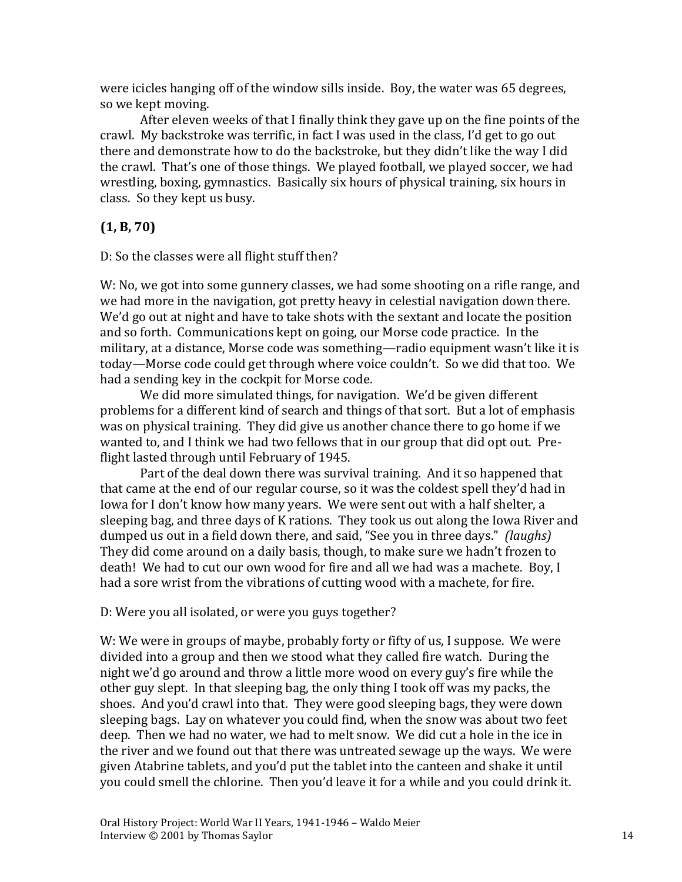were icicles hanging off of the window sills inside. Boy, the water was 65 degrees, so we kept moving.

After eleven weeks of that I finally think they gave up on the fine points of the crawl. My backstroke was terrific, in fact I was used in the class, I'd get to go out there and demonstrate how to do the backstroke, but they didn't like the way I did the crawl. That's one of those things. We played football, we played soccer, we had wrestling, boxing, gymnastics. Basically six hours of physical training, six hours in class. So they kept us busy.

### **(1, B, 70)**

D: So the classes were all flight stuff then?

W: No, we got into some gunnery classes, we had some shooting on a rifle range, and we had more in the navigation, got pretty heavy in celestial navigation down there. We'd go out at night and have to take shots with the sextant and locate the position and so forth. Communications kept on going, our Morse code practice. In the military, at a distance, Morse code was something—radio equipment wasn't like it is today—Morse code could get through where voice couldn't. So we did that too. We had a sending key in the cockpit for Morse code.

We did more simulated things, for navigation. We'd be given different problems for a different kind of search and things of that sort. But a lot of emphasis was on physical training. They did give us another chance there to go home if we wanted to, and I think we had two fellows that in our group that did opt out. Preflight lasted through until February of 1945.

Part of the deal down there was survival training. And it so happened that that came at the end of our regular course, so it was the coldest spell they'd had in Iowa for I don't know how many years. We were sent out with a half shelter, a sleeping bag, and three days of K rations. They took us out along the Iowa River and dumped us out in a field down there, and said, "See you in three days." *(laughs)* They did come around on a daily basis, though, to make sure we hadn't frozen to death! We had to cut our own wood for fire and all we had was a machete. Boy, I had a sore wrist from the vibrations of cutting wood with a machete, for fire.

#### D: Were you all isolated, or were you guys together?

W: We were in groups of maybe, probably forty or fifty of us, I suppose. We were divided into a group and then we stood what they called fire watch. During the night we'd go around and throw a little more wood on every guy's fire while the other guy slept. In that sleeping bag, the only thing I took off was my packs, the shoes. And you'd crawl into that. They were good sleeping bags, they were down sleeping bags. Lay on whatever you could find, when the snow was about two feet deep. Then we had no water, we had to melt snow. We did cut a hole in the ice in the river and we found out that there was untreated sewage up the ways. We were given Atabrine tablets, and you'd put the tablet into the canteen and shake it until you could smell the chlorine. Then you'd leave it for a while and you could drink it.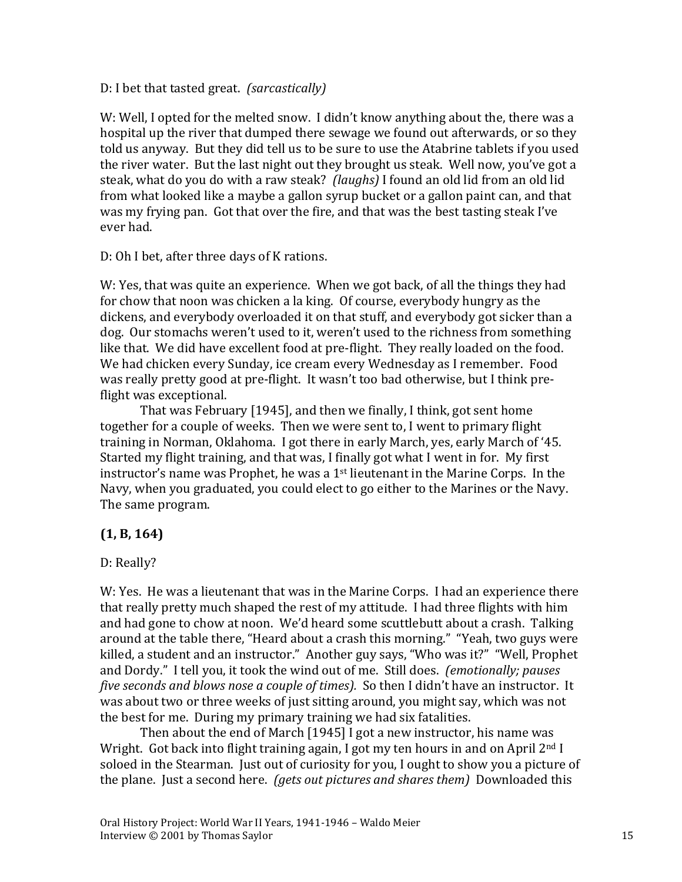#### D: I bet that tasted great. *(sarcastically)*

W: Well, I opted for the melted snow. I didn't know anything about the, there was a hospital up the river that dumped there sewage we found out afterwards, or so they told us anyway. But they did tell us to be sure to use the Atabrine tablets if you used the river water. But the last night out they brought us steak. Well now, you've got a steak, what do you do with a raw steak? *(laughs)* I found an old lid from an old lid from what looked like a maybe a gallon syrup bucket or a gallon paint can, and that was my frying pan. Got that over the fire, and that was the best tasting steak I've ever had.

D: Oh I bet, after three days of K rations.

W: Yes, that was quite an experience. When we got back, of all the things they had for chow that noon was chicken a la king. Of course, everybody hungry as the dickens, and everybody overloaded it on that stuff, and everybody got sicker than a dog. Our stomachs weren't used to it, weren't used to the richness from something like that. We did have excellent food at pre-flight. They really loaded on the food. We had chicken every Sunday, ice cream every Wednesday as I remember. Food was really pretty good at pre-flight. It wasn't too bad otherwise, but I think preflight was exceptional.

That was February [1945], and then we finally, I think, got sent home together for a couple of weeks. Then we were sent to, I went to primary flight training in Norman, Oklahoma. I got there in early March, yes, early March of '45. Started my flight training, and that was, I finally got what I went in for. My first instructor's name was Prophet, he was a 1st lieutenant in the Marine Corps. In the Navy, when you graduated, you could elect to go either to the Marines or the Navy. The same program.

### **(1, B, 164)**

#### D: Really?

W: Yes. He was a lieutenant that was in the Marine Corps. I had an experience there that really pretty much shaped the rest of my attitude. I had three flights with him and had gone to chow at noon. We'd heard some scuttlebutt about a crash. Talking around at the table there, "Heard about a crash this morning." "Yeah, two guys were killed, a student and an instructor." Another guy says, "Who was it?" "Well, Prophet and Dordy." I tell you, it took the wind out of me. Still does. *(emotionally; pauses five seconds and blows nose a couple of times).* So then I didn't have an instructor. It was about two or three weeks of just sitting around, you might say, which was not the best for me. During my primary training we had six fatalities.

Then about the end of March [1945] I got a new instructor, his name was Wright. Got back into flight training again, I got my ten hours in and on April 2<sup>nd</sup> I soloed in the Stearman. Just out of curiosity for you, I ought to show you a picture of the plane. Just a second here. *(gets out pictures and shares them)* Downloaded this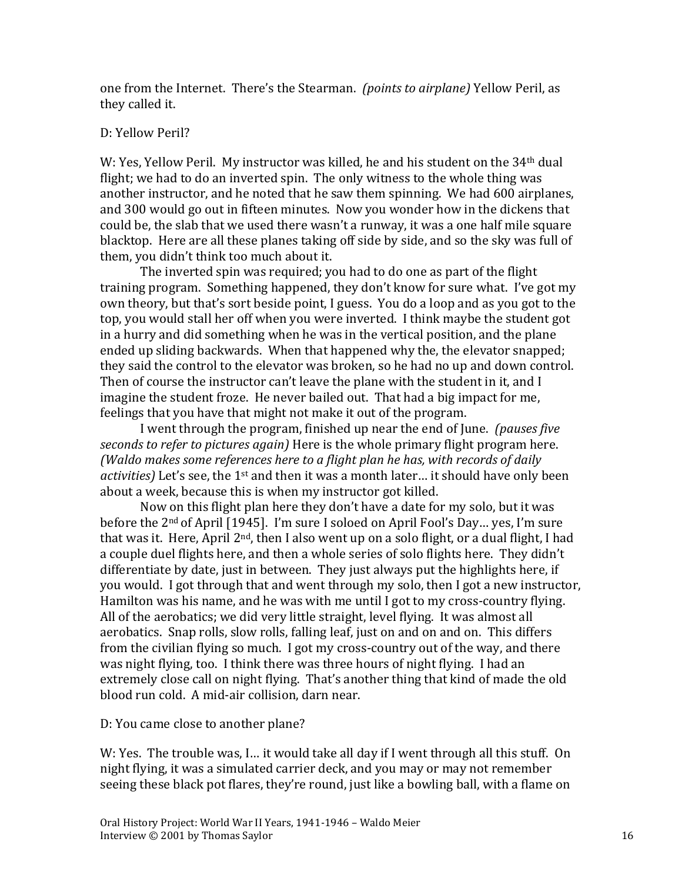one from the Internet. There's the Stearman. *(points to airplane)* Yellow Peril, as they called it.

#### D: Yellow Peril?

W: Yes, Yellow Peril. My instructor was killed, he and his student on the 34<sup>th</sup> dual flight; we had to do an inverted spin. The only witness to the whole thing was another instructor, and he noted that he saw them spinning. We had 600 airplanes, and 300 would go out in fifteen minutes. Now you wonder how in the dickens that could be, the slab that we used there wasn't a runway, it was a one half mile square blacktop. Here are all these planes taking off side by side, and so the sky was full of them, you didn't think too much about it.

The inverted spin was required; you had to do one as part of the flight training program. Something happened, they don't know for sure what. I've got my own theory, but that's sort beside point, I guess. You do a loop and as you got to the top, you would stall her off when you were inverted. I think maybe the student got in a hurry and did something when he was in the vertical position, and the plane ended up sliding backwards. When that happened why the, the elevator snapped; they said the control to the elevator was broken, so he had no up and down control. Then of course the instructor can't leave the plane with the student in it, and I imagine the student froze. He never bailed out. That had a big impact for me, feelings that you have that might not make it out of the program.

I went through the program, finished up near the end of June. *(pauses five seconds to refer to pictures again)* Here is the whole primary flight program here. *(Waldo makes some references here to a flight plan he has, with records of daily*  activities) Let's see, the 1<sup>st</sup> and then it was a month later... it should have only been about a week, because this is when my instructor got killed.

Now on this flight plan here they don't have a date for my solo, but it was before the 2nd of April [1945]. I'm sure I soloed on April Fool's Day… yes, I'm sure that was it. Here, April 2<sup>nd</sup>, then I also went up on a solo flight, or a dual flight, I had a couple duel flights here, and then a whole series of solo flights here. They didn't differentiate by date, just in between. They just always put the highlights here, if you would. I got through that and went through my solo, then I got a new instructor, Hamilton was his name, and he was with me until I got to my cross-country flying. All of the aerobatics; we did very little straight, level flying. It was almost all aerobatics. Snap rolls, slow rolls, falling leaf, just on and on and on. This differs from the civilian flying so much. I got my cross-country out of the way, and there was night flying, too. I think there was three hours of night flying. I had an extremely close call on night flying. That's another thing that kind of made the old blood run cold. A mid-air collision, darn near.

D: You came close to another plane?

W: Yes. The trouble was, I… it would take all day if I went through all this stuff. On night flying, it was a simulated carrier deck, and you may or may not remember seeing these black pot flares, they're round, just like a bowling ball, with a flame on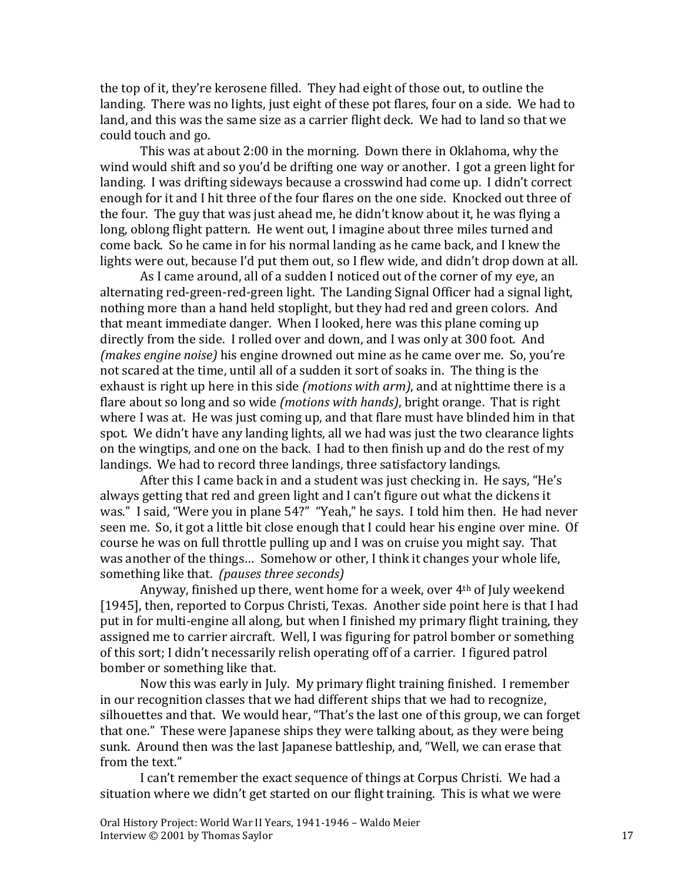the top of it, they're kerosene filled. They had eight of those out, to outline the landing. There was no lights, just eight of these pot flares, four on a side. We had to land, and this was the same size as a carrier flight deck. We had to land so that we could touch and go.

This was at about 2:00 in the morning. Down there in Oklahoma, why the wind would shift and so you'd be drifting one way or another. I got a green light for landing. I was drifting sideways because a crosswind had come up. I didn't correct enough for it and I hit three of the four flares on the one side. Knocked out three of the four. The guy that was just ahead me, he didn't know about it, he was flying a long, oblong flight pattern. He went out, I imagine about three miles turned and come back. So he came in for his normal landing as he came back, and I knew the lights were out, because I'd put them out, so I flew wide, and didn't drop down at all.

As I came around, all of a sudden I noticed out of the corner of my eye, an alternating red-green-red-green light. The Landing Signal Officer had a signal light, nothing more than a hand held stoplight, but they had red and green colors. And that meant immediate danger. When I looked, here was this plane coming up directly from the side. I rolled over and down, and I was only at 300 foot. And *(makes engine noise)* his engine drowned out mine as he came over me. So, you're not scared at the time, until all of a sudden it sort of soaks in. The thing is the exhaust is right up here in this side *(motions with arm)*, and at nighttime there is a flare about so long and so wide *(motions with hands)*, bright orange. That is right where I was at. He was just coming up, and that flare must have blinded him in that spot. We didn't have any landing lights, all we had was just the two clearance lights on the wingtips, and one on the back. I had to then finish up and do the rest of my landings. We had to record three landings, three satisfactory landings.

After this I came back in and a student was just checking in. He says, "He's always getting that red and green light and I can't figure out what the dickens it was." I said, "Were you in plane 54?" "Yeah," he says. I told him then. He had never seen me. So, it got a little bit close enough that I could hear his engine over mine. Of course he was on full throttle pulling up and I was on cruise you might say. That was another of the things… Somehow or other, I think it changes your whole life, something like that. *(pauses three seconds)*

Anyway, finished up there, went home for a week, over 4th of July weekend [1945], then, reported to Corpus Christi, Texas. Another side point here is that I had put in for multi-engine all along, but when I finished my primary flight training, they assigned me to carrier aircraft. Well, I was figuring for patrol bomber or something of this sort; I didn't necessarily relish operating off of a carrier. I figured patrol bomber or something like that.

Now this was early in July. My primary flight training finished. I remember in our recognition classes that we had different ships that we had to recognize, silhouettes and that. We would hear, "That's the last one of this group, we can forget that one." These were Japanese ships they were talking about, as they were being sunk. Around then was the last Japanese battleship, and, "Well, we can erase that from the text."

I can't remember the exact sequence of things at Corpus Christi. We had a situation where we didn't get started on our flight training. This is what we were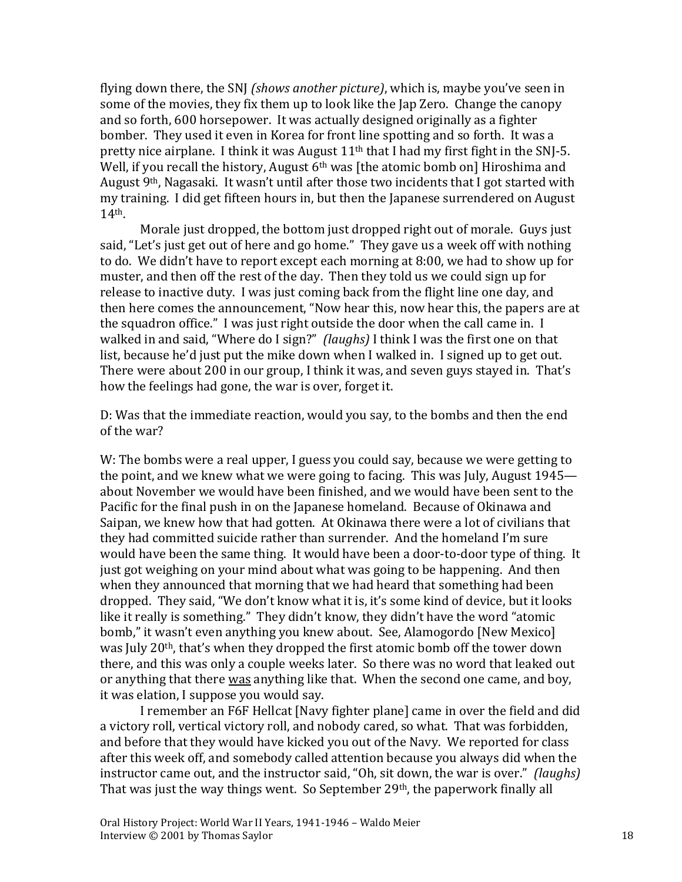flying down there, the SNJ *(shows another picture)*, which is, maybe you've seen in some of the movies, they fix them up to look like the Jap Zero. Change the canopy and so forth, 600 horsepower. It was actually designed originally as a fighter bomber. They used it even in Korea for front line spotting and so forth. It was a pretty nice airplane. I think it was August 11<sup>th</sup> that I had my first fight in the SNJ-5. Well, if you recall the history, August  $6<sup>th</sup>$  was [the atomic bomb on] Hiroshima and August 9<sup>th</sup>, Nagasaki. It wasn't until after those two incidents that I got started with my training. I did get fifteen hours in, but then the Japanese surrendered on August 14th.

Morale just dropped, the bottom just dropped right out of morale. Guys just said, "Let's just get out of here and go home." They gave us a week off with nothing to do. We didn't have to report except each morning at 8:00, we had to show up for muster, and then off the rest of the day. Then they told us we could sign up for release to inactive duty. I was just coming back from the flight line one day, and then here comes the announcement, "Now hear this, now hear this, the papers are at the squadron office." I was just right outside the door when the call came in. I walked in and said, "Where do I sign?" *(laughs)* I think I was the first one on that list, because he'd just put the mike down when I walked in. I signed up to get out. There were about 200 in our group, I think it was, and seven guys stayed in. That's how the feelings had gone, the war is over, forget it.

D: Was that the immediate reaction, would you say, to the bombs and then the end of the war?

W: The bombs were a real upper, I guess you could say, because we were getting to the point, and we knew what we were going to facing. This was July, August 1945 about November we would have been finished, and we would have been sent to the Pacific for the final push in on the Japanese homeland. Because of Okinawa and Saipan, we knew how that had gotten. At Okinawa there were a lot of civilians that they had committed suicide rather than surrender. And the homeland I'm sure would have been the same thing. It would have been a door-to-door type of thing. It just got weighing on your mind about what was going to be happening. And then when they announced that morning that we had heard that something had been dropped. They said, "We don't know what it is, it's some kind of device, but it looks like it really is something." They didn't know, they didn't have the word "atomic bomb," it wasn't even anything you knew about. See, Alamogordo [New Mexico] was July 20th, that's when they dropped the first atomic bomb off the tower down there, and this was only a couple weeks later. So there was no word that leaked out or anything that there was anything like that. When the second one came, and boy, it was elation, I suppose you would say.

I remember an F6F Hellcat [Navy fighter plane] came in over the field and did a victory roll, vertical victory roll, and nobody cared, so what. That was forbidden, and before that they would have kicked you out of the Navy. We reported for class after this week off, and somebody called attention because you always did when the instructor came out, and the instructor said, "Oh, sit down, the war is over." *(laughs)* That was just the way things went. So September 29<sup>th</sup>, the paperwork finally all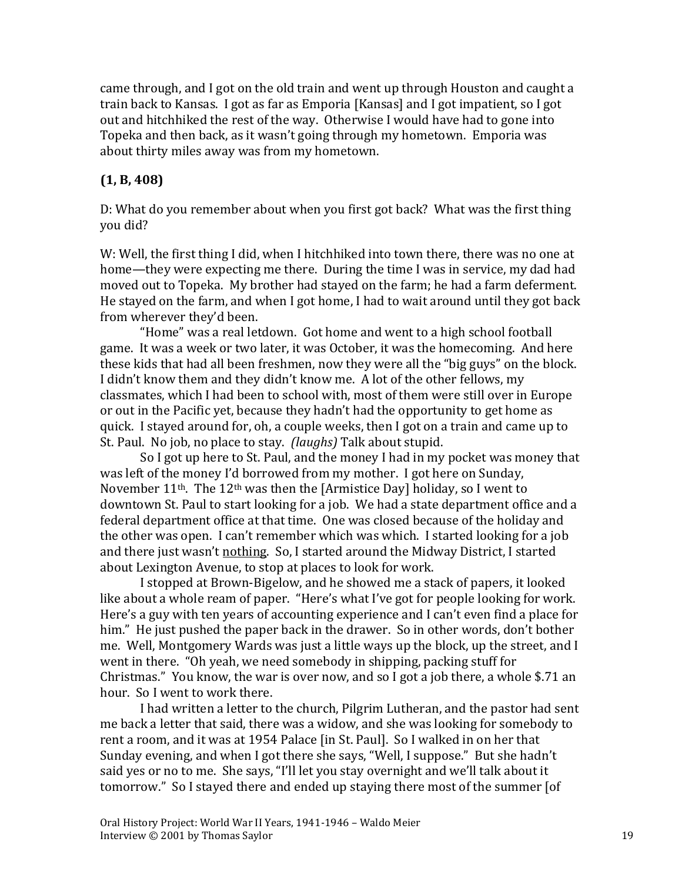came through, and I got on the old train and went up through Houston and caught a train back to Kansas. I got as far as Emporia [Kansas] and I got impatient, so I got out and hitchhiked the rest of the way. Otherwise I would have had to gone into Topeka and then back, as it wasn't going through my hometown. Emporia was about thirty miles away was from my hometown.

### **(1, B, 408)**

D: What do you remember about when you first got back? What was the first thing you did?

W: Well, the first thing I did, when I hitchhiked into town there, there was no one at home—they were expecting me there. During the time I was in service, my dad had moved out to Topeka. My brother had stayed on the farm; he had a farm deferment. He stayed on the farm, and when I got home, I had to wait around until they got back from wherever they'd been.

"Home" was a real letdown. Got home and went to a high school football game. It was a week or two later, it was October, it was the homecoming. And here these kids that had all been freshmen, now they were all the "big guys" on the block. I didn't know them and they didn't know me. A lot of the other fellows, my classmates, which I had been to school with, most of them were still over in Europe or out in the Pacific yet, because they hadn't had the opportunity to get home as quick. I stayed around for, oh, a couple weeks, then I got on a train and came up to St. Paul. No job, no place to stay. *(laughs)* Talk about stupid.

So I got up here to St. Paul, and the money I had in my pocket was money that was left of the money I'd borrowed from my mother. I got here on Sunday, November  $11^{th}$ . The  $12^{th}$  was then the [Armistice Day] holiday, so I went to downtown St. Paul to start looking for a job. We had a state department office and a federal department office at that time. One was closed because of the holiday and the other was open. I can't remember which was which. I started looking for a job and there just wasn't nothing. So, I started around the Midway District, I started about Lexington Avenue, to stop at places to look for work.

I stopped at Brown-Bigelow, and he showed me a stack of papers, it looked like about a whole ream of paper. "Here's what I've got for people looking for work. Here's a guy with ten years of accounting experience and I can't even find a place for him." He just pushed the paper back in the drawer. So in other words, don't bother me. Well, Montgomery Wards was just a little ways up the block, up the street, and I went in there. "Oh yeah, we need somebody in shipping, packing stuff for Christmas." You know, the war is over now, and so I got a job there, a whole \$.71 an hour. So I went to work there.

I had written a letter to the church, Pilgrim Lutheran, and the pastor had sent me back a letter that said, there was a widow, and she was looking for somebody to rent a room, and it was at 1954 Palace [in St. Paul]. So I walked in on her that Sunday evening, and when I got there she says, "Well, I suppose." But she hadn't said yes or no to me. She says, "I'll let you stay overnight and we'll talk about it tomorrow." So I stayed there and ended up staying there most of the summer [of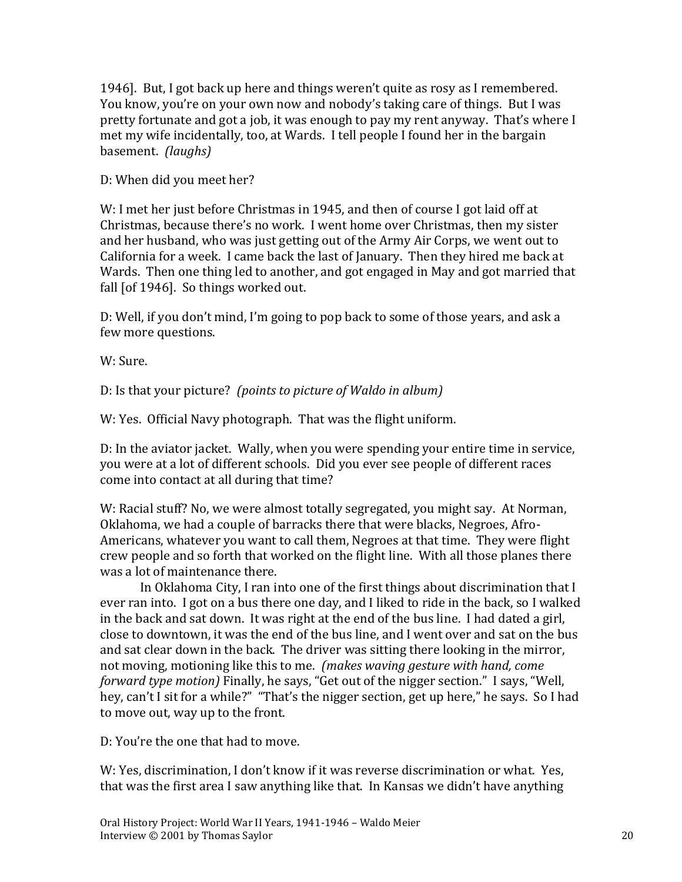1946]. But, I got back up here and things weren't quite as rosy as I remembered. You know, you're on your own now and nobody's taking care of things. But I was pretty fortunate and got a job, it was enough to pay my rent anyway. That's where I met my wife incidentally, too, at Wards. I tell people I found her in the bargain basement. *(laughs)*

D: When did you meet her?

W: I met her just before Christmas in 1945, and then of course I got laid off at Christmas, because there's no work. I went home over Christmas, then my sister and her husband, who was just getting out of the Army Air Corps, we went out to California for a week. I came back the last of January. Then they hired me back at Wards. Then one thing led to another, and got engaged in May and got married that fall [of 1946]. So things worked out.

D: Well, if you don't mind, I'm going to pop back to some of those years, and ask a few more questions.

W: Sure.

D: Is that your picture? *(points to picture of Waldo in album)*

W: Yes. Official Navy photograph. That was the flight uniform.

D: In the aviator jacket. Wally, when you were spending your entire time in service, you were at a lot of different schools. Did you ever see people of different races come into contact at all during that time?

W: Racial stuff? No, we were almost totally segregated, you might say. At Norman, Oklahoma, we had a couple of barracks there that were blacks, Negroes, Afro-Americans, whatever you want to call them, Negroes at that time. They were flight crew people and so forth that worked on the flight line. With all those planes there was a lot of maintenance there.

In Oklahoma City, I ran into one of the first things about discrimination that I ever ran into. I got on a bus there one day, and I liked to ride in the back, so I walked in the back and sat down. It was right at the end of the bus line. I had dated a girl, close to downtown, it was the end of the bus line, and I went over and sat on the bus and sat clear down in the back. The driver was sitting there looking in the mirror, not moving, motioning like this to me. *(makes waving gesture with hand, come forward type motion)* Finally, he says, "Get out of the nigger section." I says, "Well, hey, can't I sit for a while?" "That's the nigger section, get up here," he says. So I had to move out, way up to the front.

D: You're the one that had to move.

W: Yes, discrimination, I don't know if it was reverse discrimination or what. Yes, that was the first area I saw anything like that. In Kansas we didn't have anything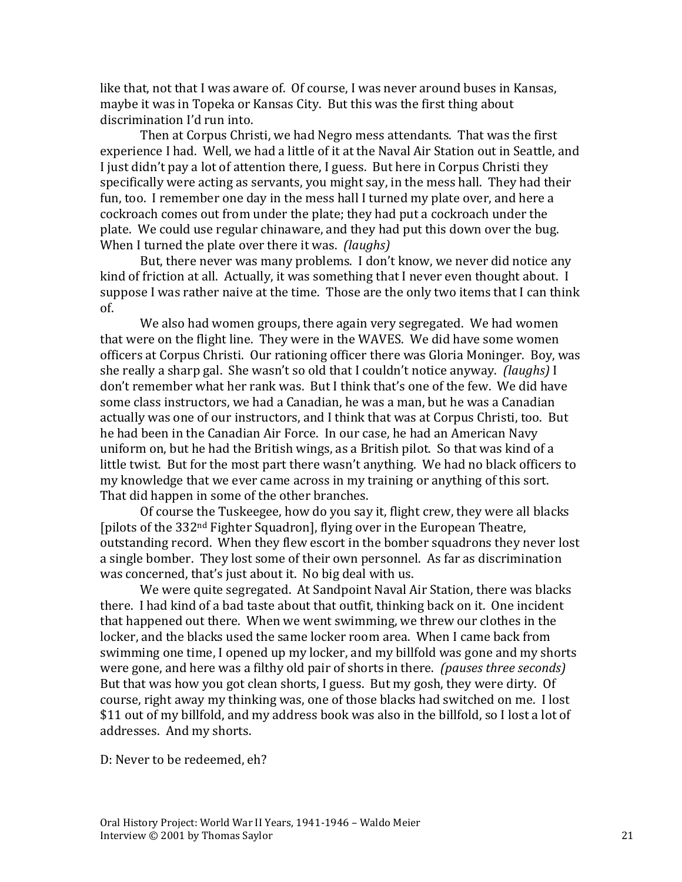like that, not that I was aware of. Of course, I was never around buses in Kansas, maybe it was in Topeka or Kansas City. But this was the first thing about discrimination I'd run into.

Then at Corpus Christi, we had Negro mess attendants. That was the first experience I had. Well, we had a little of it at the Naval Air Station out in Seattle, and I just didn't pay a lot of attention there, I guess. But here in Corpus Christi they specifically were acting as servants, you might say, in the mess hall. They had their fun, too. I remember one day in the mess hall I turned my plate over, and here a cockroach comes out from under the plate; they had put a cockroach under the plate. We could use regular chinaware, and they had put this down over the bug. When I turned the plate over there it was. *(laughs)*

But, there never was many problems. I don't know, we never did notice any kind of friction at all. Actually, it was something that I never even thought about. I suppose I was rather naive at the time. Those are the only two items that I can think of.

We also had women groups, there again very segregated. We had women that were on the flight line. They were in the WAVES. We did have some women officers at Corpus Christi. Our rationing officer there was Gloria Moninger. Boy, was she really a sharp gal. She wasn't so old that I couldn't notice anyway. *(laughs)* I don't remember what her rank was. But I think that's one of the few. We did have some class instructors, we had a Canadian, he was a man, but he was a Canadian actually was one of our instructors, and I think that was at Corpus Christi, too. But he had been in the Canadian Air Force. In our case, he had an American Navy uniform on, but he had the British wings, as a British pilot. So that was kind of a little twist. But for the most part there wasn't anything. We had no black officers to my knowledge that we ever came across in my training or anything of this sort. That did happen in some of the other branches.

Of course the Tuskeegee, how do you say it, flight crew, they were all blacks [pilots of the 332nd Fighter Squadron], flying over in the European Theatre, outstanding record. When they flew escort in the bomber squadrons they never lost a single bomber. They lost some of their own personnel. As far as discrimination was concerned, that's just about it. No big deal with us.

We were quite segregated. At Sandpoint Naval Air Station, there was blacks there. I had kind of a bad taste about that outfit, thinking back on it. One incident that happened out there. When we went swimming, we threw our clothes in the locker, and the blacks used the same locker room area. When I came back from swimming one time, I opened up my locker, and my billfold was gone and my shorts were gone, and here was a filthy old pair of shorts in there. *(pauses three seconds)* But that was how you got clean shorts, I guess. But my gosh, they were dirty. Of course, right away my thinking was, one of those blacks had switched on me. I lost \$11 out of my billfold, and my address book was also in the billfold, so I lost a lot of addresses. And my shorts.

D: Never to be redeemed, eh?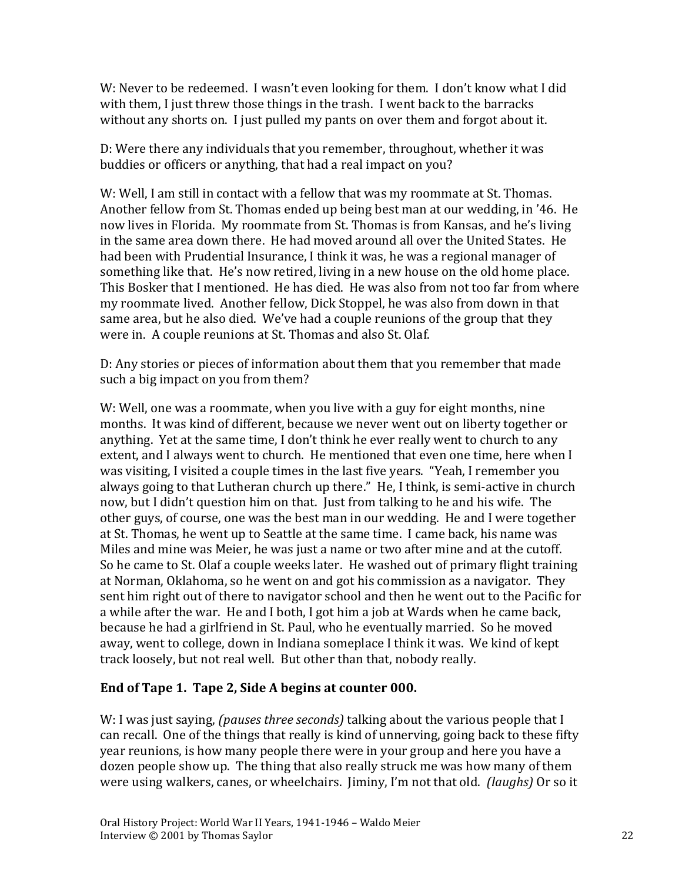W: Never to be redeemed. I wasn't even looking for them. I don't know what I did with them, I just threw those things in the trash. I went back to the barracks without any shorts on. I just pulled my pants on over them and forgot about it.

D: Were there any individuals that you remember, throughout, whether it was buddies or officers or anything, that had a real impact on you?

W: Well, I am still in contact with a fellow that was my roommate at St. Thomas. Another fellow from St. Thomas ended up being best man at our wedding, in '46. He now lives in Florida. My roommate from St. Thomas is from Kansas, and he's living in the same area down there. He had moved around all over the United States. He had been with Prudential Insurance, I think it was, he was a regional manager of something like that. He's now retired, living in a new house on the old home place. This Bosker that I mentioned. He has died. He was also from not too far from where my roommate lived. Another fellow, Dick Stoppel, he was also from down in that same area, but he also died. We've had a couple reunions of the group that they were in. A couple reunions at St. Thomas and also St. Olaf.

D: Any stories or pieces of information about them that you remember that made such a big impact on you from them?

W: Well, one was a roommate, when you live with a guy for eight months, nine months. It was kind of different, because we never went out on liberty together or anything. Yet at the same time, I don't think he ever really went to church to any extent, and I always went to church. He mentioned that even one time, here when I was visiting, I visited a couple times in the last five years. "Yeah, I remember you always going to that Lutheran church up there." He, I think, is semi-active in church now, but I didn't question him on that. Just from talking to he and his wife. The other guys, of course, one was the best man in our wedding. He and I were together at St. Thomas, he went up to Seattle at the same time. I came back, his name was Miles and mine was Meier, he was just a name or two after mine and at the cutoff. So he came to St. Olaf a couple weeks later. He washed out of primary flight training at Norman, Oklahoma, so he went on and got his commission as a navigator. They sent him right out of there to navigator school and then he went out to the Pacific for a while after the war. He and I both, I got him a job at Wards when he came back, because he had a girlfriend in St. Paul, who he eventually married. So he moved away, went to college, down in Indiana someplace I think it was. We kind of kept track loosely, but not real well. But other than that, nobody really.

### **End of Tape 1. Tape 2, Side A begins at counter 000.**

W: I was just saying, *(pauses three seconds)* talking about the various people that I can recall. One of the things that really is kind of unnerving, going back to these fifty year reunions, is how many people there were in your group and here you have a dozen people show up. The thing that also really struck me was how many of them were using walkers, canes, or wheelchairs. Jiminy, I'm not that old. *(laughs)* Or so it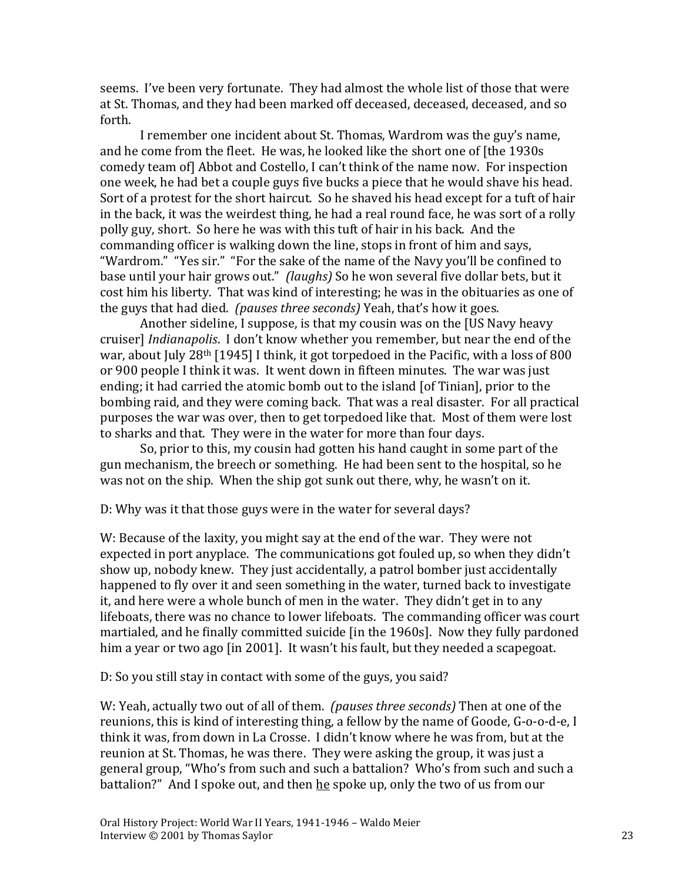seems. I've been very fortunate. They had almost the whole list of those that were at St. Thomas, and they had been marked off deceased, deceased, deceased, and so forth.

I remember one incident about St. Thomas, Wardrom was the guy's name, and he come from the fleet. He was, he looked like the short one of [the 1930s comedy team of] Abbot and Costello, I can't think of the name now. For inspection one week, he had bet a couple guys five bucks a piece that he would shave his head. Sort of a protest for the short haircut. So he shaved his head except for a tuft of hair in the back, it was the weirdest thing, he had a real round face, he was sort of a rolly polly guy, short. So here he was with this tuft of hair in his back. And the commanding officer is walking down the line, stops in front of him and says, "Wardrom." "Yes sir." "For the sake of the name of the Navy you'll be confined to base until your hair grows out." *(laughs)* So he won several five dollar bets, but it cost him his liberty. That was kind of interesting; he was in the obituaries as one of the guys that had died. *(pauses three seconds)* Yeah, that's how it goes.

Another sideline, I suppose, is that my cousin was on the [US Navy heavy cruiser] *Indianapolis*. I don't know whether you remember, but near the end of the war, about July 28<sup>th</sup> [1945] I think, it got torpedoed in the Pacific, with a loss of 800 or 900 people I think it was. It went down in fifteen minutes. The war was just ending; it had carried the atomic bomb out to the island [of Tinian], prior to the bombing raid, and they were coming back. That was a real disaster. For all practical purposes the war was over, then to get torpedoed like that. Most of them were lost to sharks and that. They were in the water for more than four days.

So, prior to this, my cousin had gotten his hand caught in some part of the gun mechanism, the breech or something. He had been sent to the hospital, so he was not on the ship. When the ship got sunk out there, why, he wasn't on it.

D: Why was it that those guys were in the water for several days?

W: Because of the laxity, you might say at the end of the war. They were not expected in port anyplace. The communications got fouled up, so when they didn't show up, nobody knew. They just accidentally, a patrol bomber just accidentally happened to fly over it and seen something in the water, turned back to investigate it, and here were a whole bunch of men in the water. They didn't get in to any lifeboats, there was no chance to lower lifeboats. The commanding officer was court martialed, and he finally committed suicide [in the 1960s]. Now they fully pardoned him a year or two ago [in 2001]. It wasn't his fault, but they needed a scapegoat.

D: So you still stay in contact with some of the guys, you said?

W: Yeah, actually two out of all of them. *(pauses three seconds)* Then at one of the reunions, this is kind of interesting thing, a fellow by the name of Goode, G-o-o-d-e, I think it was, from down in La Crosse. I didn't know where he was from, but at the reunion at St. Thomas, he was there. They were asking the group, it was just a general group, "Who's from such and such a battalion? Who's from such and such a battalion?" And I spoke out, and then he spoke up, only the two of us from our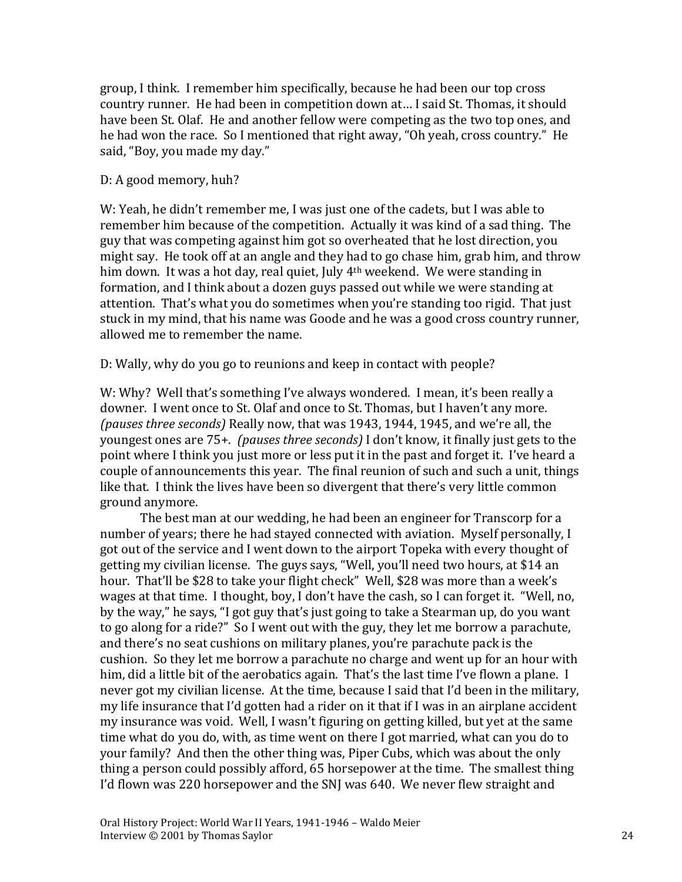group, I think. I remember him specifically, because he had been our top cross country runner. He had been in competition down at… I said St. Thomas, it should have been St. Olaf. He and another fellow were competing as the two top ones, and he had won the race. So I mentioned that right away, "Oh yeah, cross country." He said, "Boy, you made my day."

#### D: A good memory, huh?

W: Yeah, he didn't remember me, I was just one of the cadets, but I was able to remember him because of the competition. Actually it was kind of a sad thing. The guy that was competing against him got so overheated that he lost direction, you might say. He took off at an angle and they had to go chase him, grab him, and throw him down. It was a hot day, real quiet, July 4<sup>th</sup> weekend. We were standing in formation, and I think about a dozen guys passed out while we were standing at attention. That's what you do sometimes when you're standing too rigid. That just stuck in my mind, that his name was Goode and he was a good cross country runner, allowed me to remember the name.

D: Wally, why do you go to reunions and keep in contact with people?

W: Why? Well that's something I've always wondered. I mean, it's been really a downer. I went once to St. Olaf and once to St. Thomas, but I haven't any more. *(pauses three seconds)* Really now, that was 1943, 1944, 1945, and we're all, the youngest ones are 75+. *(pauses three seconds)* I don't know, it finally just gets to the point where I think you just more or less put it in the past and forget it. I've heard a couple of announcements this year. The final reunion of such and such a unit, things like that. I think the lives have been so divergent that there's very little common ground anymore.

The best man at our wedding, he had been an engineer for Transcorp for a number of years; there he had stayed connected with aviation. Myself personally, I got out of the service and I went down to the airport Topeka with every thought of getting my civilian license. The guys says, "Well, you'll need two hours, at \$14 an hour. That'll be \$28 to take your flight check" Well, \$28 was more than a week's wages at that time. I thought, boy, I don't have the cash, so I can forget it. "Well, no, by the way," he says, "I got guy that's just going to take a Stearman up, do you want to go along for a ride?" So I went out with the guy, they let me borrow a parachute, and there's no seat cushions on military planes, you're parachute pack is the cushion. So they let me borrow a parachute no charge and went up for an hour with him, did a little bit of the aerobatics again. That's the last time I've flown a plane. I never got my civilian license. At the time, because I said that I'd been in the military, my life insurance that I'd gotten had a rider on it that if I was in an airplane accident my insurance was void. Well, I wasn't figuring on getting killed, but yet at the same time what do you do, with, as time went on there I got married, what can you do to your family? And then the other thing was, Piper Cubs, which was about the only thing a person could possibly afford, 65 horsepower at the time. The smallest thing I'd flown was 220 horsepower and the SNJ was 640. We never flew straight and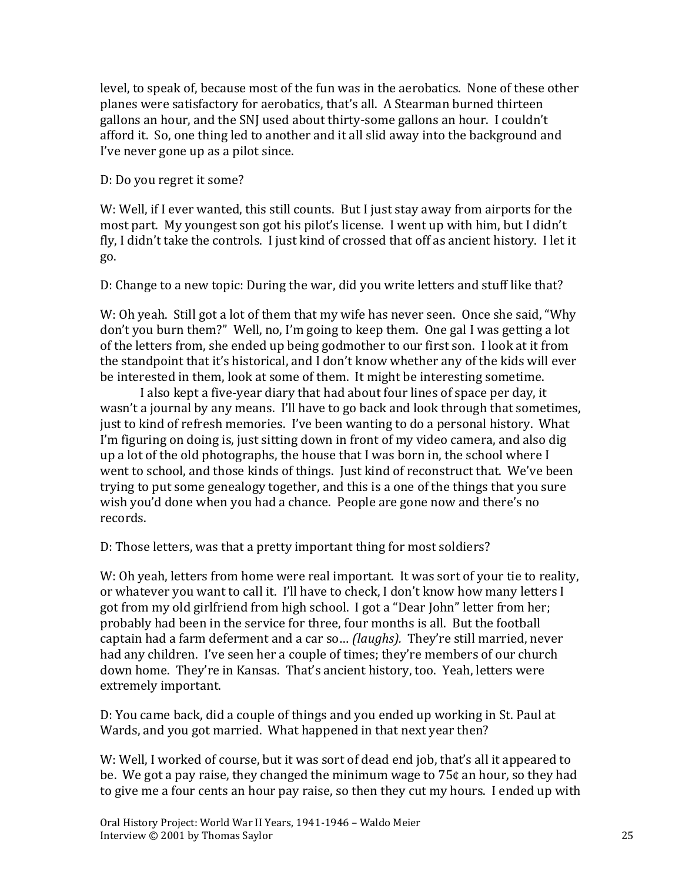level, to speak of, because most of the fun was in the aerobatics. None of these other planes were satisfactory for aerobatics, that's all. A Stearman burned thirteen gallons an hour, and the SNJ used about thirty-some gallons an hour. I couldn't afford it. So, one thing led to another and it all slid away into the background and I've never gone up as a pilot since.

#### D: Do you regret it some?

W: Well, if I ever wanted, this still counts. But I just stay away from airports for the most part. My youngest son got his pilot's license. I went up with him, but I didn't fly, I didn't take the controls. I just kind of crossed that off as ancient history. I let it go.

D: Change to a new topic: During the war, did you write letters and stuff like that?

W: Oh yeah. Still got a lot of them that my wife has never seen. Once she said, "Why don't you burn them?" Well, no, I'm going to keep them. One gal I was getting a lot of the letters from, she ended up being godmother to our first son. I look at it from the standpoint that it's historical, and I don't know whether any of the kids will ever be interested in them, look at some of them. It might be interesting sometime.

I also kept a five-year diary that had about four lines of space per day, it wasn't a journal by any means. I'll have to go back and look through that sometimes, just to kind of refresh memories. I've been wanting to do a personal history. What I'm figuring on doing is, just sitting down in front of my video camera, and also dig up a lot of the old photographs, the house that I was born in, the school where I went to school, and those kinds of things. Just kind of reconstruct that. We've been trying to put some genealogy together, and this is a one of the things that you sure wish you'd done when you had a chance. People are gone now and there's no records.

D: Those letters, was that a pretty important thing for most soldiers?

W: Oh yeah, letters from home were real important. It was sort of your tie to reality, or whatever you want to call it. I'll have to check, I don't know how many letters I got from my old girlfriend from high school. I got a "Dear John" letter from her; probably had been in the service for three, four months is all. But the football captain had a farm deferment and a car so… *(laughs).* They're still married, never had any children. I've seen her a couple of times; they're members of our church down home. They're in Kansas. That's ancient history, too. Yeah, letters were extremely important.

D: You came back, did a couple of things and you ended up working in St. Paul at Wards, and you got married. What happened in that next year then?

W: Well, I worked of course, but it was sort of dead end job, that's all it appeared to be. We got a pay raise, they changed the minimum wage to 75¢ an hour, so they had to give me a four cents an hour pay raise, so then they cut my hours. I ended up with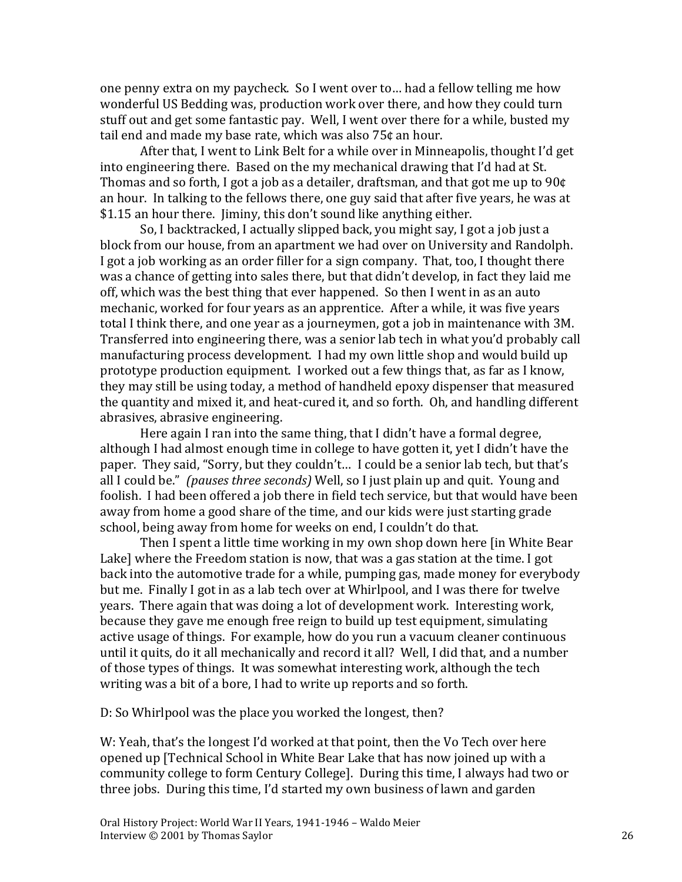one penny extra on my paycheck. So I went over to… had a fellow telling me how wonderful US Bedding was, production work over there, and how they could turn stuff out and get some fantastic pay. Well, I went over there for a while, busted my tail end and made my base rate, which was also 75¢ an hour.

After that, I went to Link Belt for a while over in Minneapolis, thought I'd get into engineering there. Based on the my mechanical drawing that I'd had at St. Thomas and so forth, I got a job as a detailer, draftsman, and that got me up to 90¢ an hour. In talking to the fellows there, one guy said that after five years, he was at \$1.15 an hour there. Jiminy, this don't sound like anything either.

So, I backtracked, I actually slipped back, you might say, I got a job just a block from our house, from an apartment we had over on University and Randolph. I got a job working as an order filler for a sign company. That, too, I thought there was a chance of getting into sales there, but that didn't develop, in fact they laid me off, which was the best thing that ever happened. So then I went in as an auto mechanic, worked for four years as an apprentice. After a while, it was five years total I think there, and one year as a journeymen, got a job in maintenance with 3M. Transferred into engineering there, was a senior lab tech in what you'd probably call manufacturing process development. I had my own little shop and would build up prototype production equipment. I worked out a few things that, as far as I know, they may still be using today, a method of handheld epoxy dispenser that measured the quantity and mixed it, and heat-cured it, and so forth. Oh, and handling different abrasives, abrasive engineering.

Here again I ran into the same thing, that I didn't have a formal degree, although I had almost enough time in college to have gotten it, yet I didn't have the paper. They said, "Sorry, but they couldn't… I could be a senior lab tech, but that's all I could be." *(pauses three seconds)* Well, so I just plain up and quit. Young and foolish. I had been offered a job there in field tech service, but that would have been away from home a good share of the time, and our kids were just starting grade school, being away from home for weeks on end, I couldn't do that.

Then I spent a little time working in my own shop down here [in White Bear Lake] where the Freedom station is now, that was a gas station at the time. I got back into the automotive trade for a while, pumping gas, made money for everybody but me. Finally I got in as a lab tech over at Whirlpool, and I was there for twelve years. There again that was doing a lot of development work. Interesting work, because they gave me enough free reign to build up test equipment, simulating active usage of things. For example, how do you run a vacuum cleaner continuous until it quits, do it all mechanically and record it all? Well, I did that, and a number of those types of things. It was somewhat interesting work, although the tech writing was a bit of a bore, I had to write up reports and so forth.

D: So Whirlpool was the place you worked the longest, then?

W: Yeah, that's the longest I'd worked at that point, then the Vo Tech over here opened up [Technical School in White Bear Lake that has now joined up with a community college to form Century College]. During this time, I always had two or three jobs. During this time, I'd started my own business of lawn and garden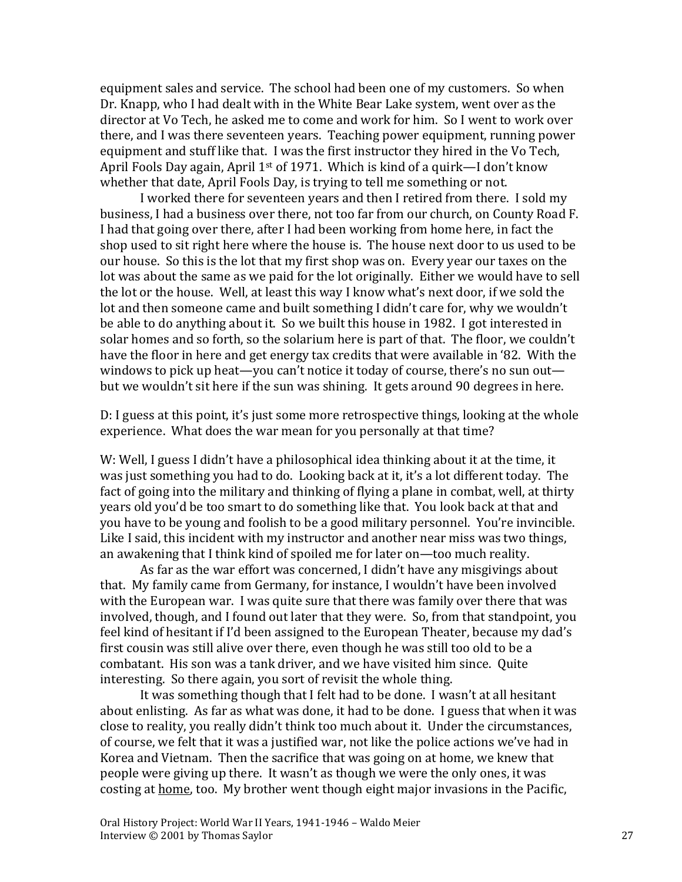equipment sales and service. The school had been one of my customers. So when Dr. Knapp, who I had dealt with in the White Bear Lake system, went over as the director at Vo Tech, he asked me to come and work for him. So I went to work over there, and I was there seventeen years. Teaching power equipment, running power equipment and stuff like that. I was the first instructor they hired in the Vo Tech, April Fools Day again, April  $1^{st}$  of 1971. Which is kind of a quirk—I don't know whether that date, April Fools Day, is trying to tell me something or not.

I worked there for seventeen years and then I retired from there. I sold my business, I had a business over there, not too far from our church, on County Road F. I had that going over there, after I had been working from home here, in fact the shop used to sit right here where the house is. The house next door to us used to be our house. So this is the lot that my first shop was on. Every year our taxes on the lot was about the same as we paid for the lot originally. Either we would have to sell the lot or the house. Well, at least this way I know what's next door, if we sold the lot and then someone came and built something I didn't care for, why we wouldn't be able to do anything about it. So we built this house in 1982. I got interested in solar homes and so forth, so the solarium here is part of that. The floor, we couldn't have the floor in here and get energy tax credits that were available in '82. With the windows to pick up heat—you can't notice it today of course, there's no sun out but we wouldn't sit here if the sun was shining. It gets around 90 degrees in here.

D: I guess at this point, it's just some more retrospective things, looking at the whole experience. What does the war mean for you personally at that time?

W: Well, I guess I didn't have a philosophical idea thinking about it at the time, it was just something you had to do. Looking back at it, it's a lot different today. The fact of going into the military and thinking of flying a plane in combat, well, at thirty years old you'd be too smart to do something like that. You look back at that and you have to be young and foolish to be a good military personnel. You're invincible. Like I said, this incident with my instructor and another near miss was two things, an awakening that I think kind of spoiled me for later on—too much reality.

As far as the war effort was concerned, I didn't have any misgivings about that. My family came from Germany, for instance, I wouldn't have been involved with the European war. I was quite sure that there was family over there that was involved, though, and I found out later that they were. So, from that standpoint, you feel kind of hesitant if I'd been assigned to the European Theater, because my dad's first cousin was still alive over there, even though he was still too old to be a combatant. His son was a tank driver, and we have visited him since. Quite interesting. So there again, you sort of revisit the whole thing.

It was something though that I felt had to be done. I wasn't at all hesitant about enlisting. As far as what was done, it had to be done. I guess that when it was close to reality, you really didn't think too much about it. Under the circumstances, of course, we felt that it was a justified war, not like the police actions we've had in Korea and Vietnam. Then the sacrifice that was going on at home, we knew that people were giving up there. It wasn't as though we were the only ones, it was costing at home, too. My brother went though eight major invasions in the Pacific,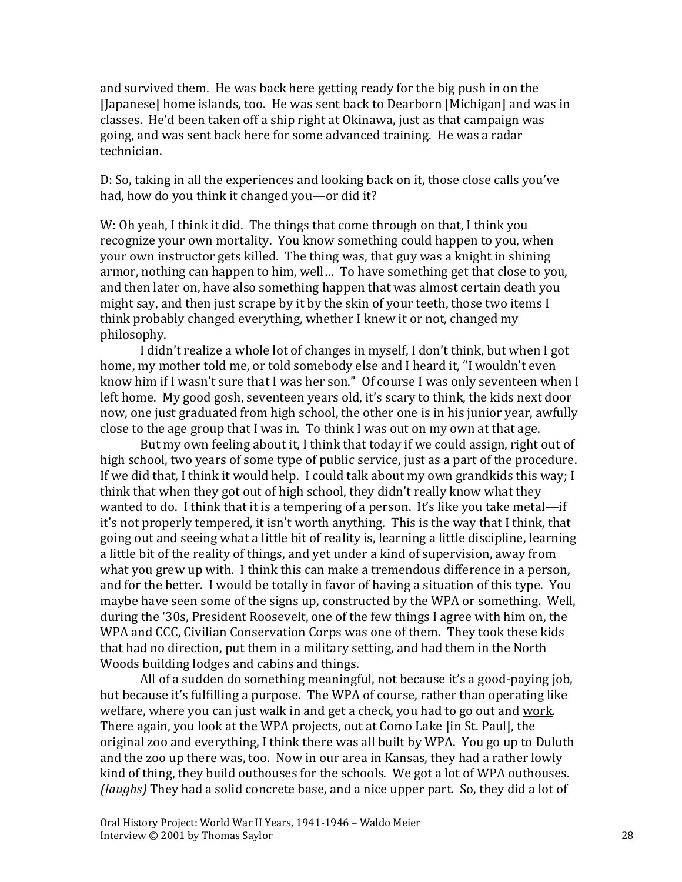and survived them. He was back here getting ready for the big push in on the [Japanese] home islands, too. He was sent back to Dearborn [Michigan] and was in classes. He'd been taken off a ship right at Okinawa, just as that campaign was going, and was sent back here for some advanced training. He was a radar technician.

D: So, taking in all the experiences and looking back on it, those close calls you've had, how do you think it changed you—or did it?

W: Oh yeah, I think it did. The things that come through on that, I think you recognize your own mortality. You know something could happen to you, when your own instructor gets killed. The thing was, that guy was a knight in shining armor, nothing can happen to him, well… To have something get that close to you, and then later on, have also something happen that was almost certain death you might say, and then just scrape by it by the skin of your teeth, those two items I think probably changed everything, whether I knew it or not, changed my philosophy.

I didn't realize a whole lot of changes in myself, I don't think, but when I got home, my mother told me, or told somebody else and I heard it, "I wouldn't even know him if I wasn't sure that I was her son." Of course I was only seventeen when I left home. My good gosh, seventeen years old, it's scary to think, the kids next door now, one just graduated from high school, the other one is in his junior year, awfully close to the age group that I was in. To think I was out on my own at that age.

But my own feeling about it, I think that today if we could assign, right out of high school, two years of some type of public service, just as a part of the procedure. If we did that, I think it would help. I could talk about my own grandkids this way; I think that when they got out of high school, they didn't really know what they wanted to do. I think that it is a tempering of a person. It's like you take metal—if it's not properly tempered, it isn't worth anything. This is the way that I think, that going out and seeing what a little bit of reality is, learning a little discipline, learning a little bit of the reality of things, and yet under a kind of supervision, away from what you grew up with. I think this can make a tremendous difference in a person, and for the better. I would be totally in favor of having a situation of this type. You maybe have seen some of the signs up, constructed by the WPA or something. Well, during the '30s, President Roosevelt, one of the few things I agree with him on, the WPA and CCC, Civilian Conservation Corps was one of them. They took these kids that had no direction, put them in a military setting, and had them in the North Woods building lodges and cabins and things.

All of a sudden do something meaningful, not because it's a good-paying job, but because it's fulfilling a purpose. The WPA of course, rather than operating like welfare, where you can just walk in and get a check, you had to go out and work. There again, you look at the WPA projects, out at Como Lake [in St. Paul], the original zoo and everything, I think there was all built by WPA. You go up to Duluth and the zoo up there was, too. Now in our area in Kansas, they had a rather lowly kind of thing, they build outhouses for the schools. We got a lot of WPA outhouses. *(laughs)* They had a solid concrete base, and a nice upper part. So, they did a lot of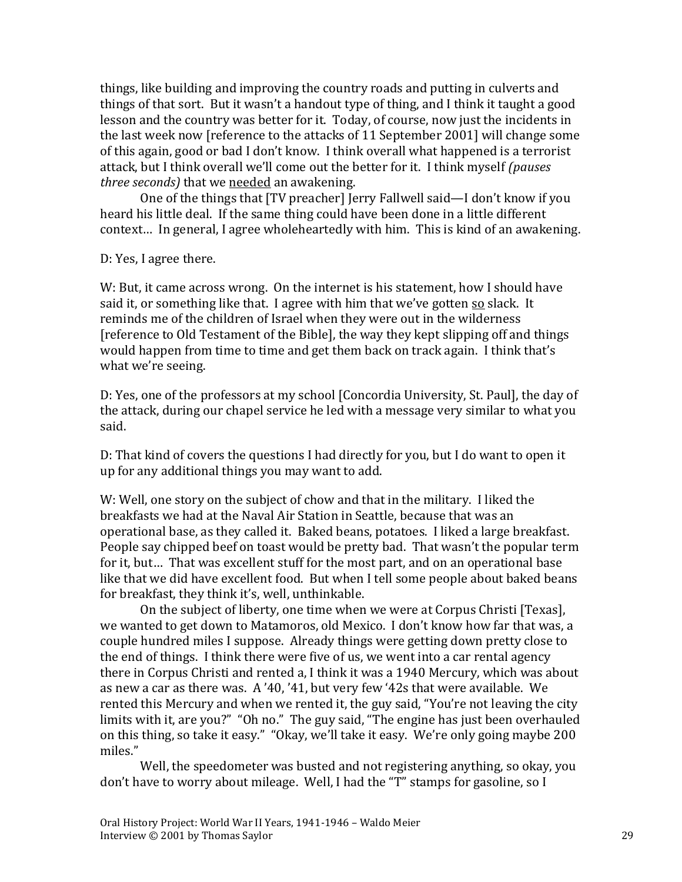things, like building and improving the country roads and putting in culverts and things of that sort. But it wasn't a handout type of thing, and I think it taught a good lesson and the country was better for it. Today, of course, now just the incidents in the last week now [reference to the attacks of 11 September 2001] will change some of this again, good or bad I don't know. I think overall what happened is a terrorist attack, but I think overall we'll come out the better for it. I think myself *(pauses three seconds)* that we needed an awakening.

One of the things that [TV preacher] Jerry Fallwell said—I don't know if you heard his little deal. If the same thing could have been done in a little different context… In general, I agree wholeheartedly with him. This is kind of an awakening.

D: Yes, I agree there.

W: But, it came across wrong. On the internet is his statement, how I should have said it, or something like that. I agree with him that we've gotten so slack. It reminds me of the children of Israel when they were out in the wilderness [reference to Old Testament of the Bible], the way they kept slipping off and things would happen from time to time and get them back on track again. I think that's what we're seeing.

D: Yes, one of the professors at my school [Concordia University, St. Paul], the day of the attack, during our chapel service he led with a message very similar to what you said.

D: That kind of covers the questions I had directly for you, but I do want to open it up for any additional things you may want to add.

W: Well, one story on the subject of chow and that in the military. I liked the breakfasts we had at the Naval Air Station in Seattle, because that was an operational base, as they called it. Baked beans, potatoes. I liked a large breakfast. People say chipped beef on toast would be pretty bad. That wasn't the popular term for it, but… That was excellent stuff for the most part, and on an operational base like that we did have excellent food. But when I tell some people about baked beans for breakfast, they think it's, well, unthinkable.

On the subject of liberty, one time when we were at Corpus Christi [Texas], we wanted to get down to Matamoros, old Mexico. I don't know how far that was, a couple hundred miles I suppose. Already things were getting down pretty close to the end of things. I think there were five of us, we went into a car rental agency there in Corpus Christi and rented a, I think it was a 1940 Mercury, which was about as new a car as there was. A '40, '41, but very few '42s that were available. We rented this Mercury and when we rented it, the guy said, "You're not leaving the city limits with it, are you?" "Oh no." The guy said, "The engine has just been overhauled on this thing, so take it easy." "Okay, we'll take it easy. We're only going maybe 200 miles."

Well, the speedometer was busted and not registering anything, so okay, you don't have to worry about mileage. Well, I had the "T" stamps for gasoline, so I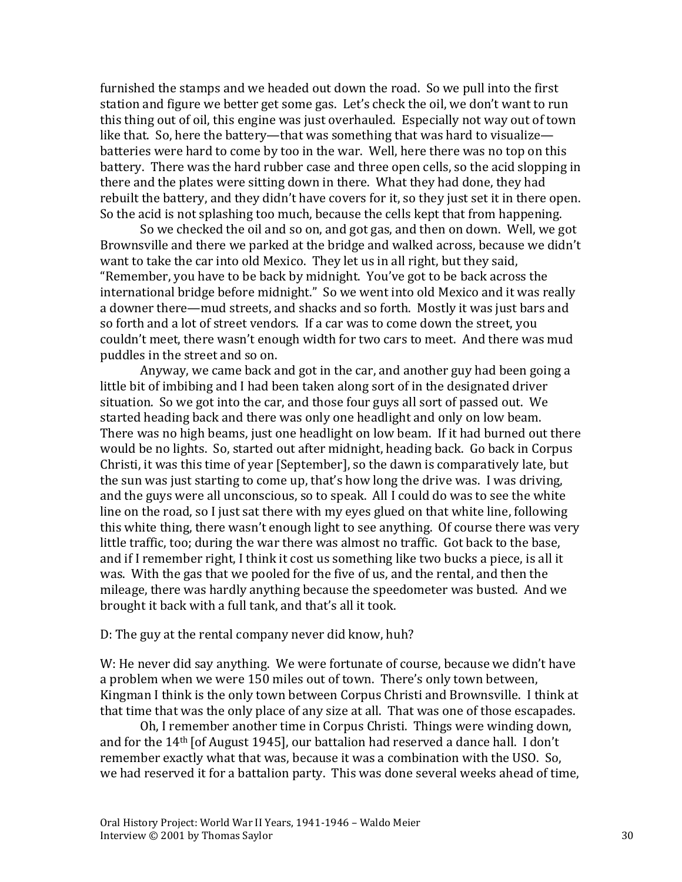furnished the stamps and we headed out down the road. So we pull into the first station and figure we better get some gas. Let's check the oil, we don't want to run this thing out of oil, this engine was just overhauled. Especially not way out of town like that. So, here the battery—that was something that was hard to visualize batteries were hard to come by too in the war. Well, here there was no top on this battery. There was the hard rubber case and three open cells, so the acid slopping in there and the plates were sitting down in there. What they had done, they had rebuilt the battery, and they didn't have covers for it, so they just set it in there open. So the acid is not splashing too much, because the cells kept that from happening.

So we checked the oil and so on, and got gas, and then on down. Well, we got Brownsville and there we parked at the bridge and walked across, because we didn't want to take the car into old Mexico. They let us in all right, but they said, "Remember, you have to be back by midnight. You've got to be back across the international bridge before midnight." So we went into old Mexico and it was really a downer there—mud streets, and shacks and so forth. Mostly it was just bars and so forth and a lot of street vendors. If a car was to come down the street, you couldn't meet, there wasn't enough width for two cars to meet. And there was mud puddles in the street and so on.

Anyway, we came back and got in the car, and another guy had been going a little bit of imbibing and I had been taken along sort of in the designated driver situation. So we got into the car, and those four guys all sort of passed out. We started heading back and there was only one headlight and only on low beam. There was no high beams, just one headlight on low beam. If it had burned out there would be no lights. So, started out after midnight, heading back. Go back in Corpus Christi, it was this time of year [September], so the dawn is comparatively late, but the sun was just starting to come up, that's how long the drive was. I was driving, and the guys were all unconscious, so to speak. All I could do was to see the white line on the road, so I just sat there with my eyes glued on that white line, following this white thing, there wasn't enough light to see anything. Of course there was very little traffic, too; during the war there was almost no traffic. Got back to the base, and if I remember right, I think it cost us something like two bucks a piece, is all it was. With the gas that we pooled for the five of us, and the rental, and then the mileage, there was hardly anything because the speedometer was busted. And we brought it back with a full tank, and that's all it took.

#### D: The guy at the rental company never did know, huh?

W: He never did say anything. We were fortunate of course, because we didn't have a problem when we were 150 miles out of town. There's only town between, Kingman I think is the only town between Corpus Christi and Brownsville. I think at that time that was the only place of any size at all. That was one of those escapades.

Oh, I remember another time in Corpus Christi. Things were winding down, and for the 14th [of August 1945], our battalion had reserved a dance hall. I don't remember exactly what that was, because it was a combination with the USO. So, we had reserved it for a battalion party. This was done several weeks ahead of time,